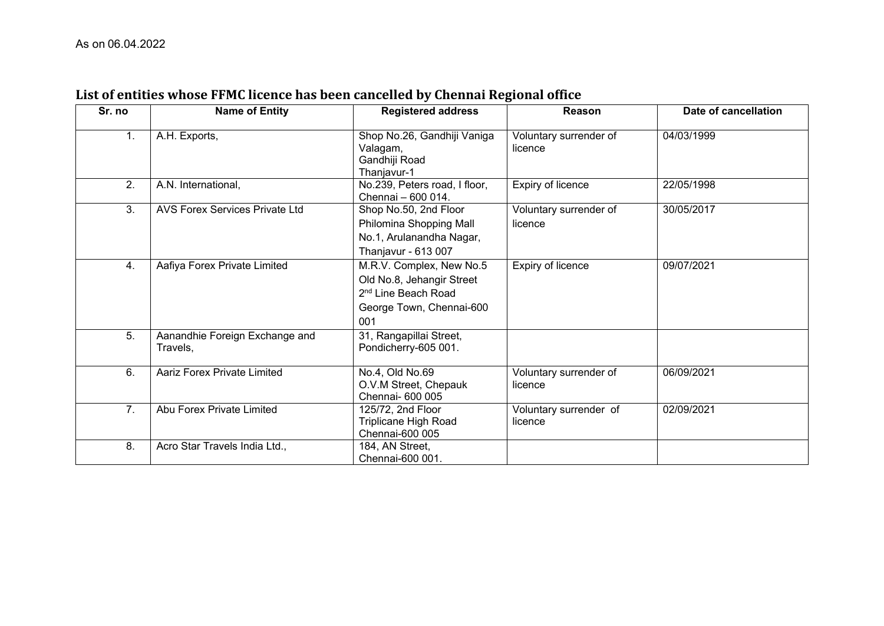| Sr. no | <b>Name of Entity</b>                      | <b>Registered address</b>                                                                                                   | Reason                            | Date of cancellation |
|--------|--------------------------------------------|-----------------------------------------------------------------------------------------------------------------------------|-----------------------------------|----------------------|
| 1.     | A.H. Exports,                              | Shop No.26, Gandhiji Vaniga<br>Valagam,<br>Gandhiji Road<br>Thanjavur-1                                                     | Voluntary surrender of<br>licence | 04/03/1999           |
| 2.     | A.N. International,                        | No.239, Peters road, I floor,<br>Chennai - 600 014.                                                                         | Expiry of licence                 | 22/05/1998           |
| 3.     | <b>AVS Forex Services Private Ltd</b>      | Shop No.50, 2nd Floor<br>Philomina Shopping Mall<br>No.1, Arulanandha Nagar,<br>Thanjavur - 613 007                         | Voluntary surrender of<br>licence | 30/05/2017           |
| 4.     | Aafiya Forex Private Limited               | M.R.V. Complex, New No.5<br>Old No.8, Jehangir Street<br>2 <sup>nd</sup> Line Beach Road<br>George Town, Chennai-600<br>001 | Expiry of licence                 | 09/07/2021           |
| 5.     | Aanandhie Foreign Exchange and<br>Travels, | 31, Rangapillai Street,<br>Pondicherry-605 001.                                                                             |                                   |                      |
| 6.     | <b>Aariz Forex Private Limited</b>         | No.4, Old No.69<br>O.V.M Street, Chepauk<br>Chennai- 600 005                                                                | Voluntary surrender of<br>licence | 06/09/2021           |
| 7.     | Abu Forex Private Limited                  | 125/72, 2nd Floor<br>Triplicane High Road<br>Chennai-600 005                                                                | Voluntary surrender of<br>licence | 02/09/2021           |
| 8.     | Acro Star Travels India Ltd.,              | 184, AN Street,<br>Chennai-600 001.                                                                                         |                                   |                      |

## **List of entities whose FFMC licence has been cancelled by Chennai Regional office**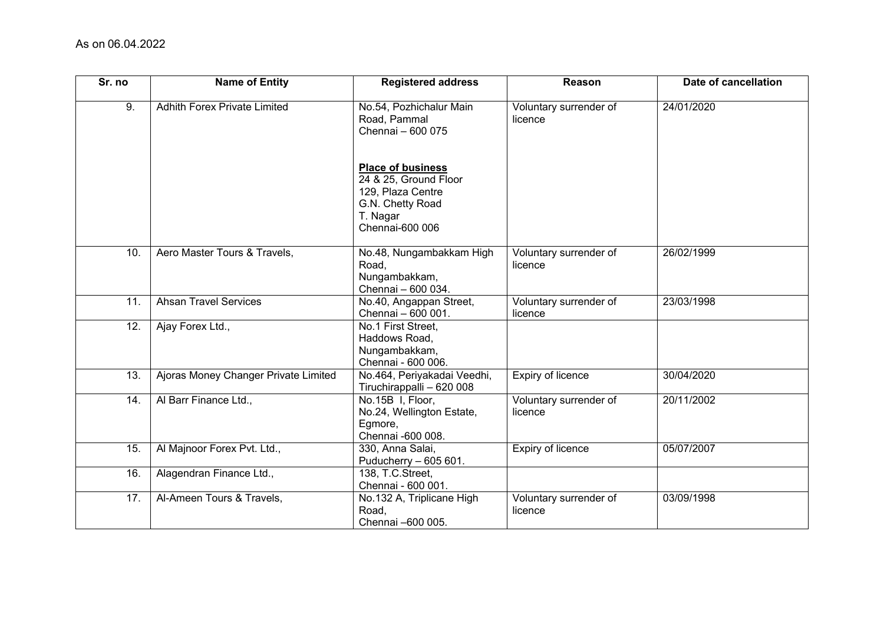| Sr. no | <b>Name of Entity</b>                | <b>Registered address</b>                                                                                                 | Reason                            | Date of cancellation |
|--------|--------------------------------------|---------------------------------------------------------------------------------------------------------------------------|-----------------------------------|----------------------|
| 9.     | <b>Adhith Forex Private Limited</b>  | No.54, Pozhichalur Main<br>Road, Pammal<br>Chennai - 600 075                                                              | Voluntary surrender of<br>licence | 24/01/2020           |
|        |                                      | <b>Place of business</b><br>24 & 25, Ground Floor<br>129, Plaza Centre<br>G.N. Chetty Road<br>T. Nagar<br>Chennai-600 006 |                                   |                      |
| 10.    | Aero Master Tours & Travels,         | No.48, Nungambakkam High<br>Road,<br>Nungambakkam,<br>Chennai - 600 034.                                                  | Voluntary surrender of<br>licence | 26/02/1999           |
| 11.    | <b>Ahsan Travel Services</b>         | No.40, Angappan Street,<br>Chennai - 600 001.                                                                             | Voluntary surrender of<br>licence | 23/03/1998           |
| 12.    | Ajay Forex Ltd.,                     | No.1 First Street,<br>Haddows Road,<br>Nungambakkam,<br>Chennai - 600 006.                                                |                                   |                      |
| 13.    | Ajoras Money Changer Private Limited | No.464, Periyakadai Veedhi,<br>Tiruchirappalli - 620 008                                                                  | Expiry of licence                 | 30/04/2020           |
| 14.    | Al Barr Finance Ltd.,                | No.15B I, Floor,<br>No.24, Wellington Estate,<br>Egmore,<br>Chennai -600 008.                                             | Voluntary surrender of<br>licence | 20/11/2002           |
| 15.    | Al Majnoor Forex Pvt. Ltd.,          | 330, Anna Salai,<br>Puducherry - 605 601.                                                                                 | Expiry of licence                 | 05/07/2007           |
| 16.    | Alagendran Finance Ltd.,             | 138, T.C.Street,<br>Chennai - 600 001.                                                                                    |                                   |                      |
| 17.    | Al-Ameen Tours & Travels,            | No.132 A, Triplicane High<br>Road,<br>Chennai -600 005.                                                                   | Voluntary surrender of<br>licence | 03/09/1998           |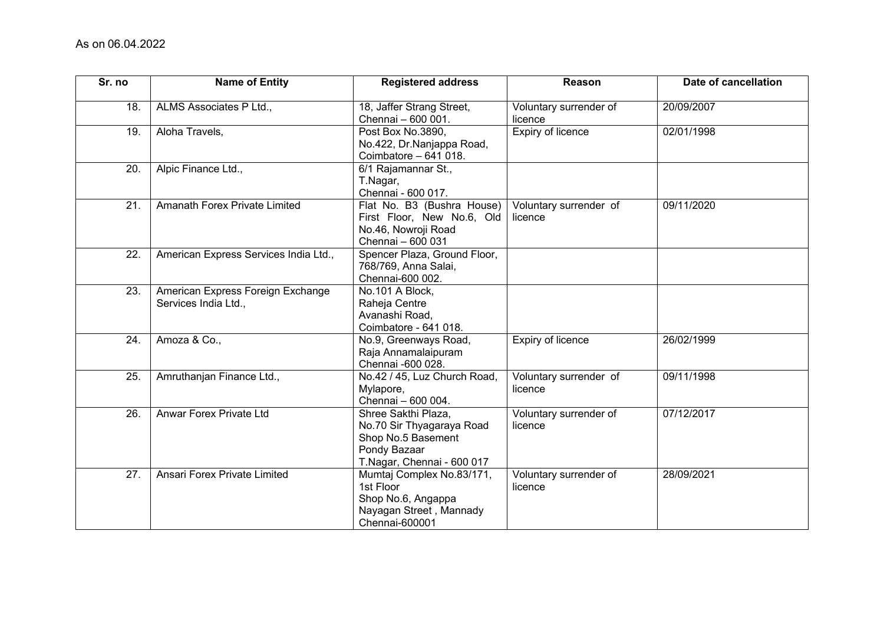| Sr. no            | <b>Name of Entity</b>                                     | <b>Registered address</b>                                                                                            | Reason                            | Date of cancellation |
|-------------------|-----------------------------------------------------------|----------------------------------------------------------------------------------------------------------------------|-----------------------------------|----------------------|
| 18.               | ALMS Associates P Ltd.,                                   | 18, Jaffer Strang Street,<br>Chennai - 600 001.                                                                      | Voluntary surrender of<br>licence | 20/09/2007           |
| 19.               | Aloha Travels,                                            | Post Box No.3890,<br>No.422, Dr.Nanjappa Road,<br>Coimbatore - 641 018.                                              | Expiry of licence                 | 02/01/1998           |
| 20.               | Alpic Finance Ltd.,                                       | 6/1 Rajamannar St.,<br>T.Nagar,<br>Chennai - 600 017.                                                                |                                   |                      |
| 21.               | Amanath Forex Private Limited                             | Flat No. B3 (Bushra House)<br>First Floor, New No.6, Old<br>No.46, Nowroji Road<br>Chennai - 600 031                 | Voluntary surrender of<br>licence | 09/11/2020           |
| 22.               | American Express Services India Ltd.,                     | Spencer Plaza, Ground Floor,<br>768/769, Anna Salai,<br>Chennai-600 002.                                             |                                   |                      |
| 23.               | American Express Foreign Exchange<br>Services India Ltd., | No.101 A Block,<br>Raheja Centre<br>Avanashi Road,<br>Coimbatore - 641 018.                                          |                                   |                      |
| 24.               | Amoza & Co.,                                              | No.9, Greenways Road,<br>Raja Annamalaipuram<br>Chennai -600 028.                                                    | Expiry of licence                 | 26/02/1999           |
| 25.               | Amruthanjan Finance Ltd.,                                 | No.42 / 45, Luz Church Road,<br>Mylapore,<br>Chennai - 600 004.                                                      | Voluntary surrender of<br>licence | 09/11/1998           |
| 26.               | Anwar Forex Private Ltd                                   | Shree Sakthi Plaza,<br>No.70 Sir Thyagaraya Road<br>Shop No.5 Basement<br>Pondy Bazaar<br>T.Nagar, Chennai - 600 017 | Voluntary surrender of<br>licence | 07/12/2017           |
| $\overline{27}$ . | Ansari Forex Private Limited                              | Mumtaj Complex No.83/171,<br>1st Floor<br>Shop No.6, Angappa<br>Nayagan Street, Mannady<br>Chennai-600001            | Voluntary surrender of<br>licence | 28/09/2021           |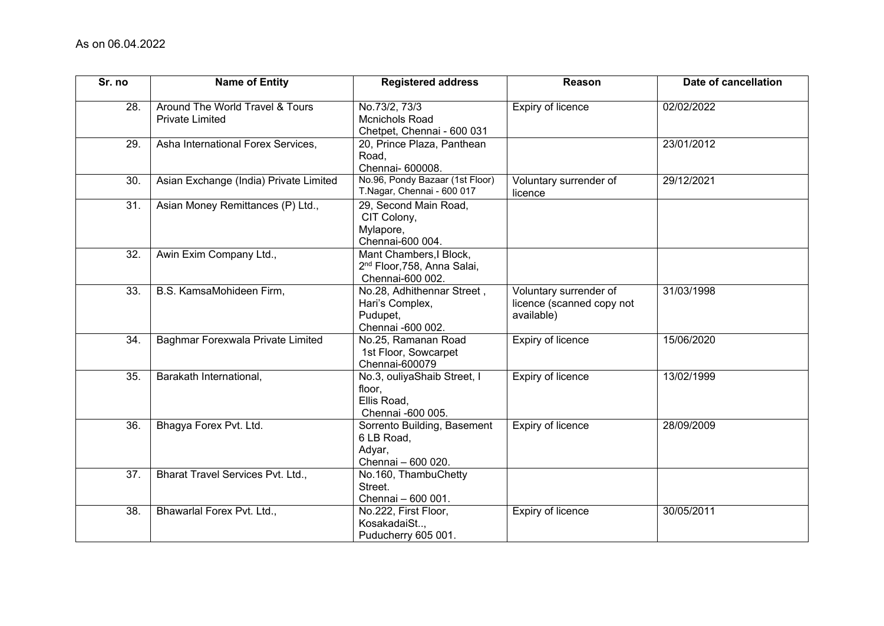| Sr. no | <b>Name of Entity</b>                                     | <b>Registered address</b>                                                              | Reason                                                            | Date of cancellation |
|--------|-----------------------------------------------------------|----------------------------------------------------------------------------------------|-------------------------------------------------------------------|----------------------|
| 28.    | Around The World Travel & Tours<br><b>Private Limited</b> | No.73/2, 73/3<br>Mcnichols Road<br>Chetpet, Chennai - 600 031                          | <b>Expiry of licence</b>                                          | 02/02/2022           |
| 29.    | Asha International Forex Services,                        | 20, Prince Plaza, Panthean<br>Road,<br>Chennai- 600008.                                |                                                                   | 23/01/2012           |
| 30.    | Asian Exchange (India) Private Limited                    | No.96, Pondy Bazaar (1st Floor)<br>T.Nagar, Chennai - 600 017                          | Voluntary surrender of<br>licence                                 | 29/12/2021           |
| 31.    | Asian Money Remittances (P) Ltd.,                         | 29, Second Main Road,<br>CIT Colony,<br>Mylapore,<br>Chennai-600 004.                  |                                                                   |                      |
| 32.    | Awin Exim Company Ltd.,                                   | Mant Chambers, I Block,<br>2 <sup>nd</sup> Floor, 758, Anna Salai,<br>Chennai-600 002. |                                                                   |                      |
| 33.    | B.S. KamsaMohideen Firm,                                  | No.28, Adhithennar Street,<br>Hari's Complex,<br>Pudupet,<br>Chennai -600 002.         | Voluntary surrender of<br>licence (scanned copy not<br>available) | 31/03/1998           |
| 34.    | Baghmar Forexwala Private Limited                         | No.25, Ramanan Road<br>1st Floor, Sowcarpet<br>Chennai-600079                          | Expiry of licence                                                 | 15/06/2020           |
| 35.    | Barakath International,                                   | No.3, ouliyaShaib Street, I<br>floor,<br>Ellis Road,<br>Chennai -600 005.              | Expiry of licence                                                 | 13/02/1999           |
| 36.    | Bhagya Forex Pvt. Ltd.                                    | Sorrento Building, Basement<br>6 LB Road,<br>Adyar,<br>Chennai - 600 020.              | Expiry of licence                                                 | 28/09/2009           |
| 37.    | Bharat Travel Services Pvt. Ltd.,                         | No.160, ThambuChetty<br>Street.<br>Chennai - 600 001.                                  |                                                                   |                      |
| 38.    | Bhawarlal Forex Pvt. Ltd.,                                | No.222, First Floor,<br>KosakadaiSt,<br>Puducherry 605 001.                            | Expiry of licence                                                 | 30/05/2011           |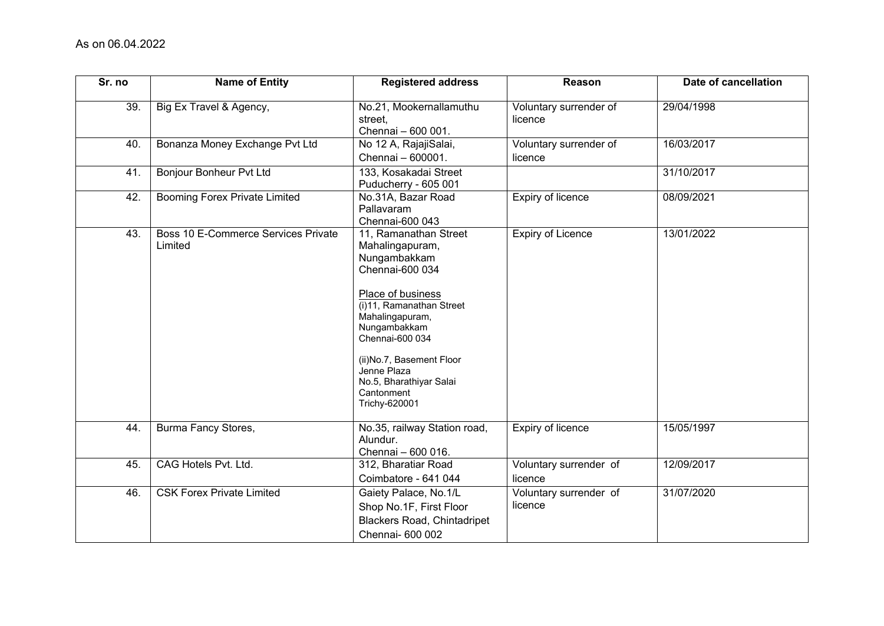| Sr. no | <b>Name of Entity</b>                          | <b>Registered address</b>                                                                                                                                                                                                                                                               | Reason                            | Date of cancellation |
|--------|------------------------------------------------|-----------------------------------------------------------------------------------------------------------------------------------------------------------------------------------------------------------------------------------------------------------------------------------------|-----------------------------------|----------------------|
| 39.    | Big Ex Travel & Agency,                        | No.21, Mookernallamuthu<br>street.<br>Chennai - 600 001.                                                                                                                                                                                                                                | Voluntary surrender of<br>licence | 29/04/1998           |
| 40.    | Bonanza Money Exchange Pvt Ltd                 | No 12 A, RajajiSalai,<br>Chennai - 600001.                                                                                                                                                                                                                                              | Voluntary surrender of<br>licence | 16/03/2017           |
| 41.    | <b>Bonjour Bonheur Pvt Ltd</b>                 | 133, Kosakadai Street<br>Puducherry - 605 001                                                                                                                                                                                                                                           |                                   | 31/10/2017           |
| 42.    | <b>Booming Forex Private Limited</b>           | No.31A, Bazar Road<br>Pallavaram<br>Chennai-600 043                                                                                                                                                                                                                                     | <b>Expiry of licence</b>          | 08/09/2021           |
| 43.    | Boss 10 E-Commerce Services Private<br>Limited | 11, Ramanathan Street<br>Mahalingapuram,<br>Nungambakkam<br>Chennai-600 034<br>Place of business<br>(i)11, Ramanathan Street<br>Mahalingapuram,<br>Nungambakkam<br>Chennai-600 034<br>(ii)No.7, Basement Floor<br>Jenne Plaza<br>No.5, Bharathiyar Salai<br>Cantonment<br>Trichy-620001 | Expiry of Licence                 | 13/01/2022           |
| 44.    | Burma Fancy Stores,                            | No.35, railway Station road,<br>Alundur.<br>Chennai - 600 016.                                                                                                                                                                                                                          | Expiry of licence                 | 15/05/1997           |
| 45.    | CAG Hotels Pvt. Ltd.                           | 312, Bharatiar Road<br>Coimbatore - 641 044                                                                                                                                                                                                                                             | Voluntary surrender of<br>licence | 12/09/2017           |
| 46.    | <b>CSK Forex Private Limited</b>               | Gaiety Palace, No.1/L<br>Shop No.1F, First Floor<br><b>Blackers Road, Chintadripet</b><br>Chennai- 600 002                                                                                                                                                                              | Voluntary surrender of<br>licence | 31/07/2020           |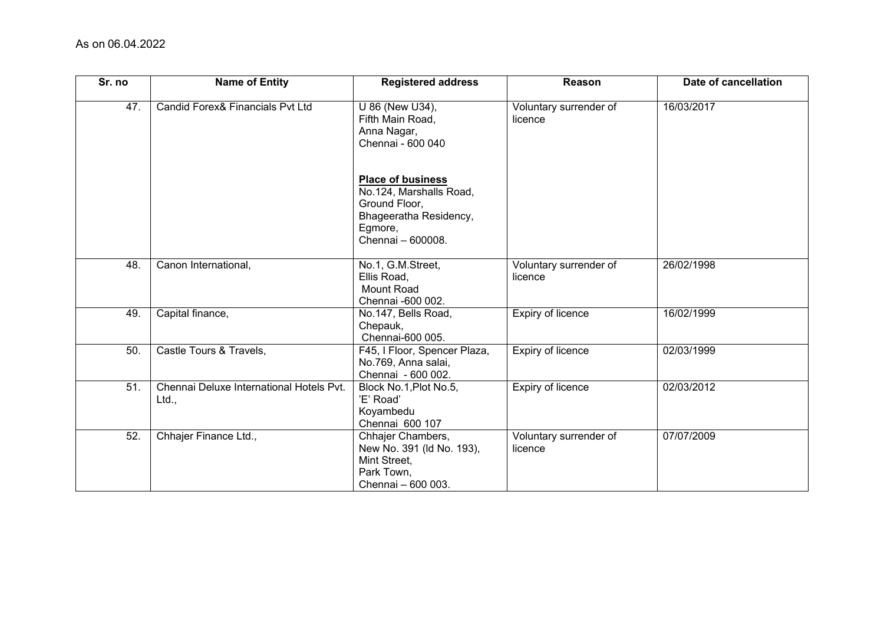| Sr. no | <b>Name of Entity</b>                             | <b>Registered address</b>                                                                                                      | Reason                            | Date of cancellation |
|--------|---------------------------------------------------|--------------------------------------------------------------------------------------------------------------------------------|-----------------------------------|----------------------|
| 47.    | Candid Forex& Financials Pvt Ltd                  | U 86 (New U34),<br>Fifth Main Road,<br>Anna Nagar,<br>Chennai - 600 040                                                        | Voluntary surrender of<br>licence | 16/03/2017           |
|        |                                                   | <b>Place of business</b><br>No.124, Marshalls Road,<br>Ground Floor,<br>Bhageeratha Residency,<br>Egmore,<br>Chennai - 600008. |                                   |                      |
| 48.    | Canon International,                              | No.1, G.M.Street,<br>Ellis Road,<br><b>Mount Road</b><br>Chennai -600 002.                                                     | Voluntary surrender of<br>licence | 26/02/1998           |
| 49.    | Capital finance,                                  | No.147, Bells Road,<br>Chepauk,<br>Chennai-600 005.                                                                            | Expiry of licence                 | 16/02/1999           |
| 50.    | Castle Tours & Travels,                           | F45, I Floor, Spencer Plaza,<br>No.769, Anna salai,<br>Chennai - 600 002.                                                      | Expiry of licence                 | 02/03/1999           |
| 51.    | Chennai Deluxe International Hotels Pvt.<br>Ltd., | Block No.1, Plot No.5,<br>'E' Road'<br>Koyambedu<br>Chennai 600 107                                                            | Expiry of licence                 | 02/03/2012           |
| 52.    | Chhajer Finance Ltd.,                             | Chhajer Chambers,<br>New No. 391 (Id No. 193),<br>Mint Street,<br>Park Town,<br>Chennai - 600 003.                             | Voluntary surrender of<br>licence | 07/07/2009           |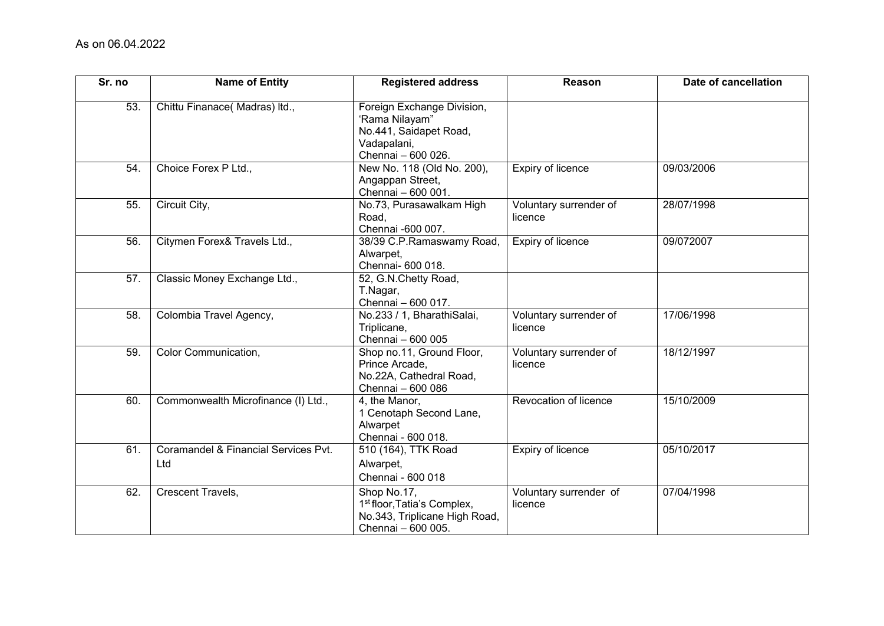| Sr. no | <b>Name of Entity</b>                       | <b>Registered address</b>                                                                                     | Reason                            | Date of cancellation |
|--------|---------------------------------------------|---------------------------------------------------------------------------------------------------------------|-----------------------------------|----------------------|
| 53.    | Chittu Finanace(Madras) Itd.,               | Foreign Exchange Division,<br>'Rama Nilayam"<br>No.441, Saidapet Road,<br>Vadapalani,<br>Chennai - 600 026.   |                                   |                      |
| 54.    | Choice Forex P Ltd.,                        | New No. 118 (Old No. 200),<br>Angappan Street,<br>Chennai - 600 001.                                          | Expiry of licence                 | 09/03/2006           |
| 55.    | Circuit City,                               | No.73, Purasawalkam High<br>Road,<br>Chennai -600 007.                                                        | Voluntary surrender of<br>licence | 28/07/1998           |
| 56.    | Citymen Forex& Travels Ltd.,                | 38/39 C.P.Ramaswamy Road,<br>Alwarpet,<br>Chennai- 600 018.                                                   | Expiry of licence                 | 09/072007            |
| 57.    | Classic Money Exchange Ltd.,                | 52, G.N.Chetty Road,<br>T.Nagar,<br>Chennai - 600 017.                                                        |                                   |                      |
| 58.    | Colombia Travel Agency,                     | No.233 / 1, BharathiSalai,<br>Triplicane,<br>Chennai - 600 005                                                | Voluntary surrender of<br>licence | 17/06/1998           |
| 59.    | Color Communication,                        | Shop no.11, Ground Floor,<br>Prince Arcade,<br>No.22A, Cathedral Road,<br>Chennai - 600 086                   | Voluntary surrender of<br>licence | 18/12/1997           |
| 60.    | Commonwealth Microfinance (I) Ltd.,         | 4, the Manor,<br>1 Cenotaph Second Lane,<br>Alwarpet<br>Chennai - 600 018.                                    | Revocation of licence             | 15/10/2009           |
| 61.    | Coramandel & Financial Services Pvt.<br>Ltd | 510 (164), TTK Road<br>Alwarpet,<br>Chennai - 600 018                                                         | Expiry of licence                 | 05/10/2017           |
| 62.    | <b>Crescent Travels,</b>                    | Shop No.17,<br>1 <sup>st</sup> floor, Tatia's Complex,<br>No.343, Triplicane High Road,<br>Chennai - 600 005. | Voluntary surrender of<br>licence | 07/04/1998           |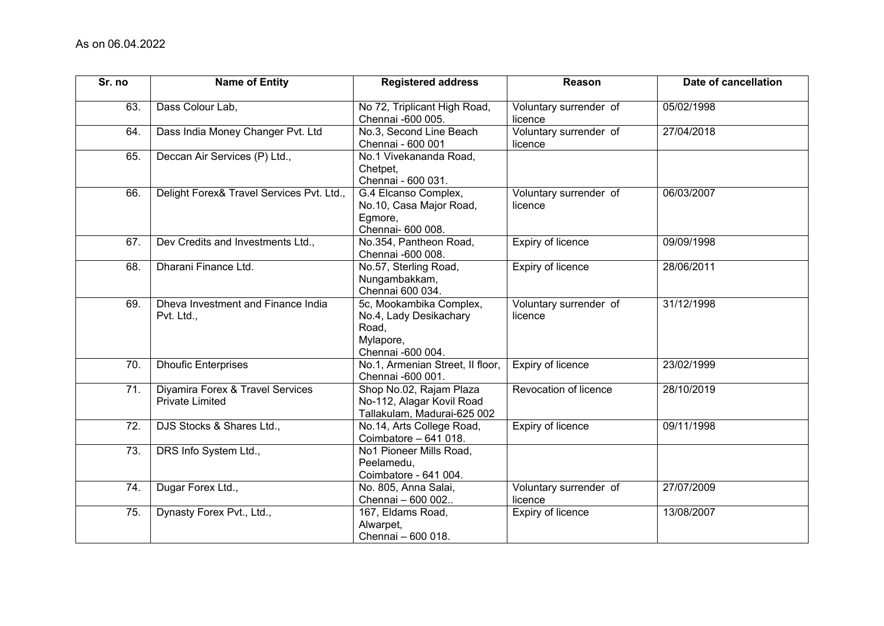| Sr. no            | <b>Name of Entity</b>                                      | <b>Registered address</b>                                                                    | Reason                            | Date of cancellation |
|-------------------|------------------------------------------------------------|----------------------------------------------------------------------------------------------|-----------------------------------|----------------------|
| 63.               | Dass Colour Lab,                                           | No 72, Triplicant High Road,<br>Chennai -600 005.                                            | Voluntary surrender of<br>licence | 05/02/1998           |
| 64.               | Dass India Money Changer Pvt. Ltd                          | No.3, Second Line Beach<br>Chennai - 600 001                                                 | Voluntary surrender of<br>licence | 27/04/2018           |
| 65.               | Deccan Air Services (P) Ltd.,                              | No.1 Vivekananda Road,<br>Chetpet,<br>Chennai - 600 031.                                     |                                   |                      |
| 66.               | Delight Forex& Travel Services Pvt. Ltd.,                  | G.4 Elcanso Complex,<br>No.10, Casa Major Road,<br>Egmore,<br>Chennai- 600 008.              | Voluntary surrender of<br>licence | 06/03/2007           |
| 67.               | Dev Credits and Investments Ltd.,                          | No.354, Pantheon Road,<br>Chennai -600 008.                                                  | Expiry of licence                 | 09/09/1998           |
| 68.               | Dharani Finance Ltd.                                       | No.57, Sterling Road,<br>Nungambakkam,<br>Chennai 600 034.                                   | Expiry of licence                 | 28/06/2011           |
| 69.               | Dheva Investment and Finance India<br>Pvt. Ltd.,           | 5c, Mookambika Complex,<br>No.4, Lady Desikachary<br>Road,<br>Mylapore,<br>Chennai -600 004. | Voluntary surrender of<br>licence | 31/12/1998           |
| 70.               | <b>Dhoufic Enterprises</b>                                 | No.1, Armenian Street, II floor,<br>Chennai -600 001.                                        | Expiry of licence                 | 23/02/1999           |
| 71.               | Diyamira Forex & Travel Services<br><b>Private Limited</b> | Shop No.02, Rajam Plaza<br>No-112, Alagar Kovil Road<br>Tallakulam, Madurai-625 002          | Revocation of licence             | 28/10/2019           |
| 72.               | DJS Stocks & Shares Ltd.,                                  | No.14, Arts College Road,<br>Coimbatore - 641 018.                                           | Expiry of licence                 | 09/11/1998           |
| $\overline{73}$ . | DRS Info System Ltd.,                                      | No1 Pioneer Mills Road,<br>Peelamedu,<br>Coimbatore - 641 004.                               |                                   |                      |
| 74.               | Dugar Forex Ltd.,                                          | No. 805, Anna Salai,<br>Chennai - 600 002                                                    | Voluntary surrender of<br>licence | 27/07/2009           |
| 75.               | Dynasty Forex Pvt., Ltd.,                                  | 167, Eldams Road,<br>Alwarpet,<br>Chennai - 600 018.                                         | Expiry of licence                 | 13/08/2007           |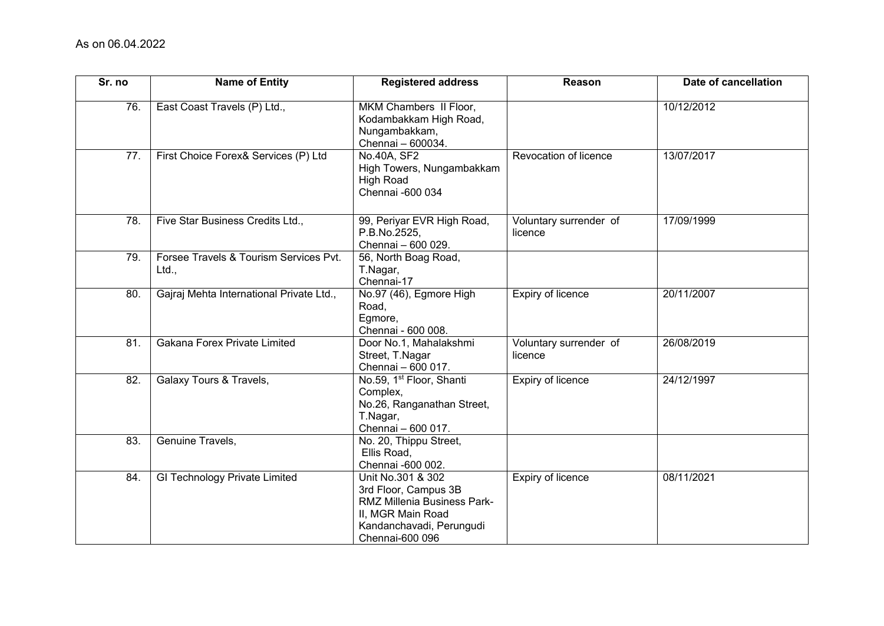| Sr. no          | <b>Name of Entity</b>                           | <b>Registered address</b>                                                                                                                           | Reason                            | Date of cancellation |
|-----------------|-------------------------------------------------|-----------------------------------------------------------------------------------------------------------------------------------------------------|-----------------------------------|----------------------|
| 76.             | East Coast Travels (P) Ltd.,                    | MKM Chambers II Floor,<br>Kodambakkam High Road,<br>Nungambakkam,<br>Chennai - 600034.                                                              |                                   | 10/12/2012           |
| 77.             | First Choice Forex& Services (P) Ltd            | No.40A, SF2<br>High Towers, Nungambakkam<br><b>High Road</b><br>Chennai -600 034                                                                    | Revocation of licence             | 13/07/2017           |
| 78.             | Five Star Business Credits Ltd.,                | 99, Periyar EVR High Road,<br>P.B.No.2525,<br>Chennai - 600 029.                                                                                    | Voluntary surrender of<br>licence | 17/09/1999           |
| 79.             | Forsee Travels & Tourism Services Pvt.<br>Ltd., | 56, North Boag Road,<br>T.Nagar,<br>Chennai-17                                                                                                      |                                   |                      |
| 80.             | Gajraj Mehta International Private Ltd.,        | No.97 (46), Egmore High<br>Road,<br>Egmore,<br>Chennai - 600 008.                                                                                   | <b>Expiry of licence</b>          | 20/11/2007           |
| 81.             | Gakana Forex Private Limited                    | Door No.1, Mahalakshmi<br>Street, T.Nagar<br>Chennai - 600 017.                                                                                     | Voluntary surrender of<br>licence | 26/08/2019           |
| $\overline{82}$ | <b>Galaxy Tours &amp; Travels,</b>              | No.59, 1 <sup>st</sup> Floor, Shanti<br>Complex,<br>No.26, Ranganathan Street,<br>T.Nagar,<br>Chennai - 600 017.                                    | Expiry of licence                 | 24/12/1997           |
| 83.             | Genuine Travels,                                | No. 20, Thippu Street,<br>Ellis Road,<br>Chennai -600 002.                                                                                          |                                   |                      |
| 84.             | <b>GI Technology Private Limited</b>            | Unit No.301 & 302<br>3rd Floor, Campus 3B<br><b>RMZ Millenia Business Park-</b><br>II, MGR Main Road<br>Kandanchavadi, Perungudi<br>Chennai-600 096 | Expiry of licence                 | 08/11/2021           |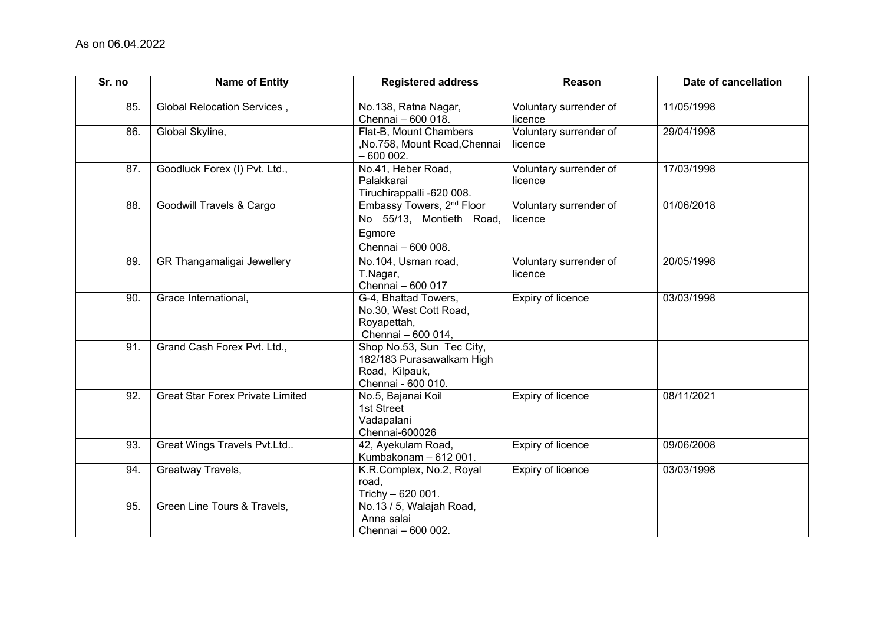| Sr. no | <b>Name of Entity</b>                   | <b>Registered address</b>                                                                         | Reason                            | Date of cancellation |
|--------|-----------------------------------------|---------------------------------------------------------------------------------------------------|-----------------------------------|----------------------|
| 85.    | Global Relocation Services,             | No.138, Ratna Nagar,<br>Chennai - 600 018.                                                        | Voluntary surrender of<br>licence | 11/05/1998           |
| 86.    | Global Skyline,                         | Flat-B, Mount Chambers<br>,No.758, Mount Road, Chennai<br>$-600002.$                              | Voluntary surrender of<br>licence | 29/04/1998           |
| 87.    | Goodluck Forex (I) Pvt. Ltd.,           | No.41, Heber Road,<br>Palakkarai<br>Tiruchirappalli -620 008.                                     | Voluntary surrender of<br>licence | 17/03/1998           |
| 88.    | Goodwill Travels & Cargo                | Embassy Towers, 2 <sup>nd</sup> Floor<br>No 55/13, Montieth Road,<br>Egmore<br>Chennai - 600 008. | Voluntary surrender of<br>licence | 01/06/2018           |
| 89.    | GR Thangamaligai Jewellery              | No.104, Usman road,<br>T.Nagar,<br>Chennai - 600 017                                              | Voluntary surrender of<br>licence | 20/05/1998           |
| 90.    | Grace International,                    | G-4, Bhattad Towers,<br>No.30, West Cott Road,<br>Royapettah,<br>Chennai - 600 014,               | Expiry of licence                 | 03/03/1998           |
| 91.    | Grand Cash Forex Pvt. Ltd.,             | Shop No.53, Sun Tec City,<br>182/183 Purasawalkam High<br>Road, Kilpauk,<br>Chennai - 600 010.    |                                   |                      |
| 92.    | <b>Great Star Forex Private Limited</b> | No.5, Bajanai Koil<br>1st Street<br>Vadapalani<br>Chennai-600026                                  | Expiry of licence                 | 08/11/2021           |
| 93.    | Great Wings Travels Pvt.Ltd             | 42, Ayekulam Road,<br>Kumbakonam - 612 001.                                                       | Expiry of licence                 | 09/06/2008           |
| 94.    | Greatway Travels,                       | K.R.Complex, No.2, Royal<br>road,<br>Trichy - 620 001.                                            | Expiry of licence                 | 03/03/1998           |
| 95.    | Green Line Tours & Travels,             | No.13 / 5, Walajah Road,<br>Anna salai<br>Chennai - 600 002.                                      |                                   |                      |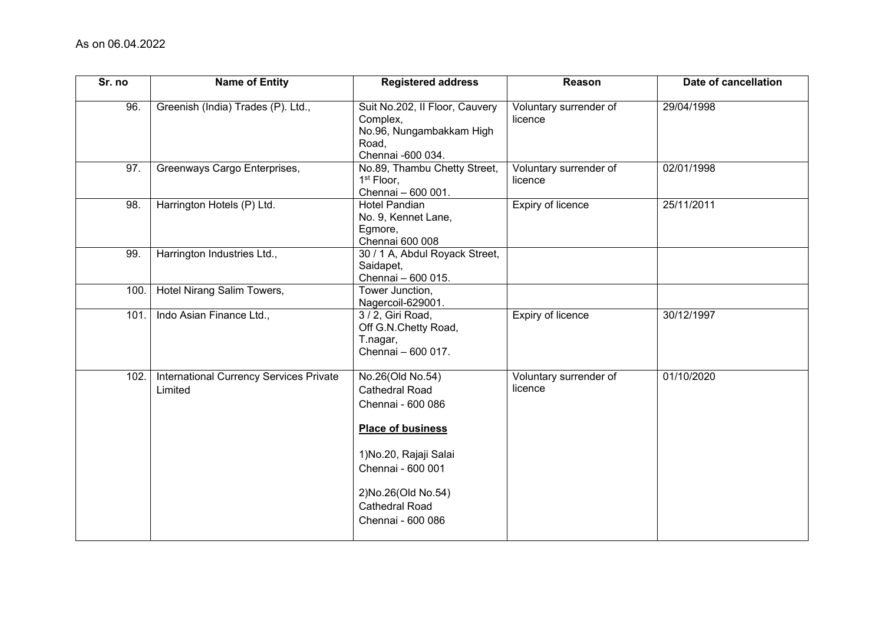| Sr. no | <b>Name of Entity</b>                              | <b>Registered address</b>                                                                                                                                                                                         | Reason                            | Date of cancellation |
|--------|----------------------------------------------------|-------------------------------------------------------------------------------------------------------------------------------------------------------------------------------------------------------------------|-----------------------------------|----------------------|
| 96.    | Greenish (India) Trades (P). Ltd.,                 | Suit No.202, Il Floor, Cauvery<br>Complex,<br>No.96, Nungambakkam High<br>Road,<br>Chennai -600 034.                                                                                                              | Voluntary surrender of<br>licence | 29/04/1998           |
| 97.    | Greenways Cargo Enterprises,                       | No.89, Thambu Chetty Street,<br>1 <sup>st</sup> Floor,<br>Chennai - 600 001.                                                                                                                                      | Voluntary surrender of<br>licence | 02/01/1998           |
| 98.    | Harrington Hotels (P) Ltd.                         | <b>Hotel Pandian</b><br>No. 9, Kennet Lane,<br>Egmore,<br>Chennai 600 008                                                                                                                                         | Expiry of licence                 | 25/11/2011           |
| 99.    | Harrington Industries Ltd.,                        | 30 / 1 A, Abdul Royack Street,<br>Saidapet,<br>Chennai - 600 015.                                                                                                                                                 |                                   |                      |
| 100.   | Hotel Nirang Salim Towers,                         | Tower Junction,<br>Nagercoil-629001.                                                                                                                                                                              |                                   |                      |
| 101    | Indo Asian Finance Ltd.,                           | 3 / 2, Giri Road,<br>Off G.N.Chetty Road,<br>T.nagar,<br>Chennai - 600 017.                                                                                                                                       | <b>Expiry of licence</b>          | 30/12/1997           |
| 102.   | International Currency Services Private<br>Limited | No.26(Old No.54)<br><b>Cathedral Road</b><br>Chennai - 600 086<br><b>Place of business</b><br>1) No.20, Rajaji Salai<br>Chennai - 600 001<br>2) No. 26 (Old No. 54)<br><b>Cathedral Road</b><br>Chennai - 600 086 | Voluntary surrender of<br>licence | 01/10/2020           |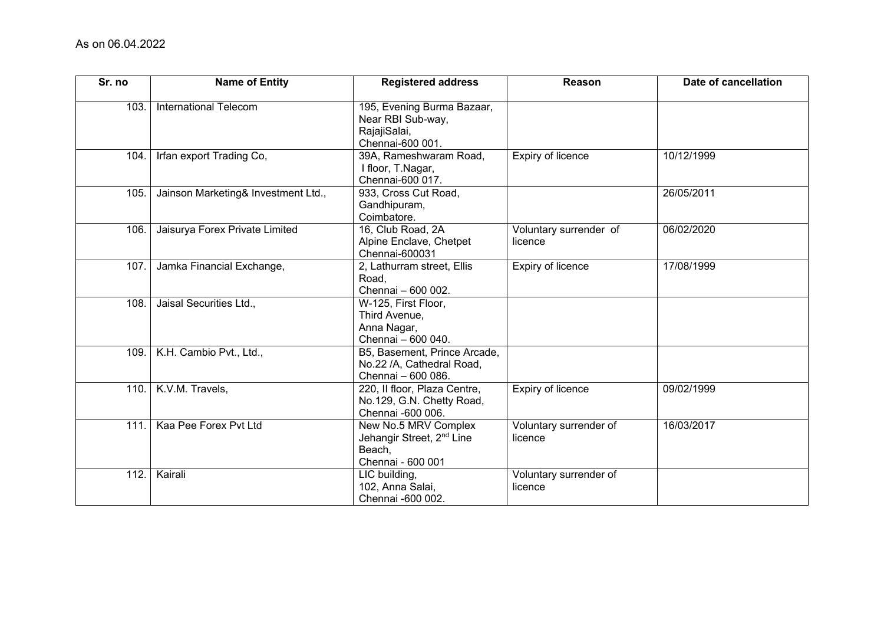| Sr. no | <b>Name of Entity</b>               | <b>Registered address</b>                                                                    | Reason                            | Date of cancellation |
|--------|-------------------------------------|----------------------------------------------------------------------------------------------|-----------------------------------|----------------------|
| 103.   | International Telecom               | 195, Evening Burma Bazaar,<br>Near RBI Sub-way,<br>RajajiSalai,<br>Chennai-600 001.          |                                   |                      |
| 104.   | Irfan export Trading Co,            | 39A, Rameshwaram Road,<br>I floor, T.Nagar,<br>Chennai-600 017.                              | Expiry of licence                 | 10/12/1999           |
| 105.   | Jainson Marketing& Investment Ltd., | 933, Cross Cut Road,<br>Gandhipuram,<br>Coimbatore.                                          |                                   | 26/05/2011           |
| 106.   | Jaisurya Forex Private Limited      | 16, Club Road, 2A<br>Alpine Enclave, Chetpet<br>Chennai-600031                               | Voluntary surrender of<br>licence | 06/02/2020           |
| 107.   | Jamka Financial Exchange,           | 2, Lathurram street, Ellis<br>Road,<br>Chennai - 600 002.                                    | Expiry of licence                 | 17/08/1999           |
| 108.   | Jaisal Securities Ltd.,             | W-125, First Floor,<br>Third Avenue,<br>Anna Nagar,<br>Chennai - 600 040.                    |                                   |                      |
| 109.   | K.H. Cambio Pvt., Ltd.,             | B5, Basement, Prince Arcade,<br>No.22 /A, Cathedral Road,<br>Chennai - 600 086.              |                                   |                      |
| 110.   | K.V.M. Travels,                     | 220, Il floor, Plaza Centre,<br>No.129, G.N. Chetty Road,<br>Chennai -600 006.               | Expiry of licence                 | 09/02/1999           |
| 111.   | Kaa Pee Forex Pvt Ltd               | New No.5 MRV Complex<br>Jehangir Street, 2 <sup>nd</sup> Line<br>Beach,<br>Chennai - 600 001 | Voluntary surrender of<br>licence | 16/03/2017           |
| 112.   | Kairali                             | LIC building,<br>102, Anna Salai,<br>Chennai -600 002.                                       | Voluntary surrender of<br>licence |                      |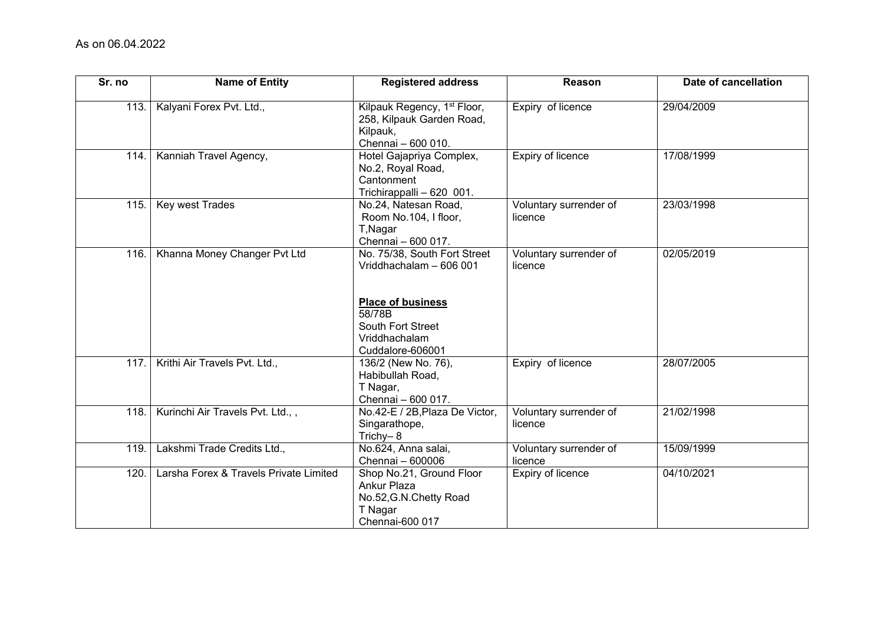| Sr. no | <b>Name of Entity</b>                  | <b>Registered address</b>                                                                                                                               | Reason                            | Date of cancellation |
|--------|----------------------------------------|---------------------------------------------------------------------------------------------------------------------------------------------------------|-----------------------------------|----------------------|
| 113.   | Kalyani Forex Pvt. Ltd.,               | Kilpauk Regency, 1 <sup>st</sup> Floor,<br>258, Kilpauk Garden Road,<br>Kilpauk,<br>Chennai - 600 010.                                                  | Expiry of licence                 | 29/04/2009           |
| 114.   | Kanniah Travel Agency,                 | Hotel Gajapriya Complex,<br>No.2, Royal Road,<br>Cantonment<br>Trichirappalli - 620 001.                                                                | <b>Expiry of licence</b>          | 17/08/1999           |
| 115.   | Key west Trades                        | No.24, Natesan Road,<br>Room No.104, I floor,<br>T, Nagar<br>Chennai - 600 017.                                                                         | Voluntary surrender of<br>licence | 23/03/1998           |
| 116.   | Khanna Money Changer Pvt Ltd           | No. 75/38, South Fort Street<br>Vriddhachalam - 606 001<br><b>Place of business</b><br>58/78B<br>South Fort Street<br>Vriddhachalam<br>Cuddalore-606001 | Voluntary surrender of<br>licence | 02/05/2019           |
| 117.   | Krithi Air Travels Pvt. Ltd.,          | 136/2 (New No. 76),<br>Habibullah Road,<br>T Nagar,<br>Chennai - 600 017.                                                                               | Expiry of licence                 | 28/07/2005           |
| 118.   | Kurinchi Air Travels Pvt. Ltd.,,       | No.42-E / 2B, Plaza De Victor,<br>Singarathope,<br>Trichy-8                                                                                             | Voluntary surrender of<br>licence | 21/02/1998           |
| 119.   | Lakshmi Trade Credits Ltd.,            | No.624, Anna salai,<br>Chennai - 600006                                                                                                                 | Voluntary surrender of<br>licence | 15/09/1999           |
| 120    | Larsha Forex & Travels Private Limited | Shop No.21, Ground Floor<br>Ankur Plaza<br>No.52, G.N. Chetty Road<br>T Nagar<br>Chennai-600 017                                                        | Expiry of licence                 | 04/10/2021           |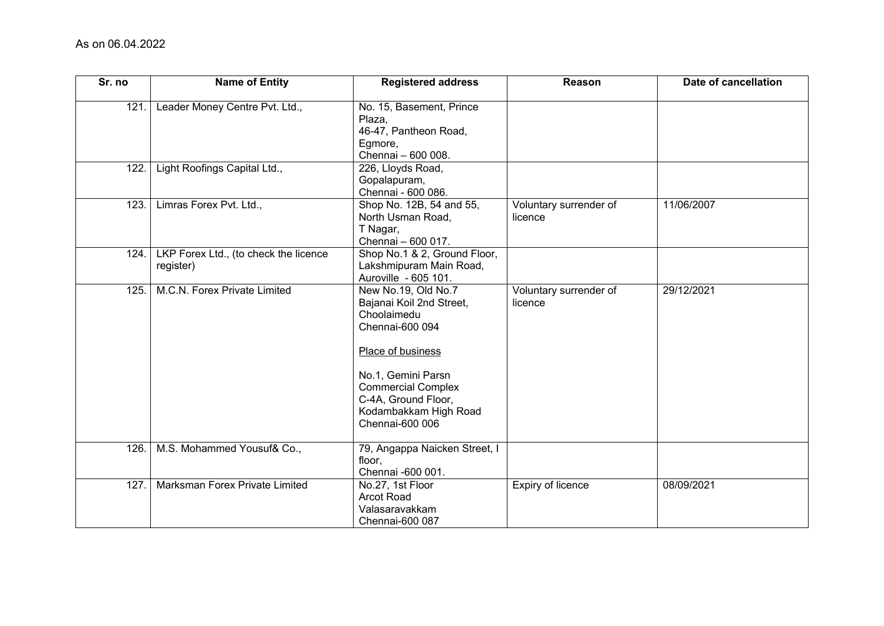| Sr. no | <b>Name of Entity</b>                              | <b>Registered address</b>                                                                                                                                                                                                    | Reason                            | Date of cancellation |
|--------|----------------------------------------------------|------------------------------------------------------------------------------------------------------------------------------------------------------------------------------------------------------------------------------|-----------------------------------|----------------------|
| 121.   | Leader Money Centre Pvt. Ltd.,                     | No. 15, Basement, Prince<br>Plaza,<br>46-47, Pantheon Road,<br>Egmore,<br>Chennai - 600 008.                                                                                                                                 |                                   |                      |
| 122.   | Light Roofings Capital Ltd.,                       | 226, Lloyds Road,<br>Gopalapuram,<br>Chennai - 600 086.                                                                                                                                                                      |                                   |                      |
| 123.   | Limras Forex Pvt. Ltd.,                            | Shop No. 12B, 54 and 55,<br>North Usman Road,<br>T Nagar,<br>Chennai - 600 017.                                                                                                                                              | Voluntary surrender of<br>licence | 11/06/2007           |
| 124.   | LKP Forex Ltd., (to check the licence<br>register) | Shop No.1 & 2, Ground Floor,<br>Lakshmipuram Main Road,<br>Auroville - 605 101.                                                                                                                                              |                                   |                      |
| 125.   | M.C.N. Forex Private Limited                       | New No.19, Old No.7<br>Bajanai Koil 2nd Street,<br>Choolaimedu<br>Chennai-600 094<br>Place of business<br>No.1, Gemini Parsn<br><b>Commercial Complex</b><br>C-4A, Ground Floor,<br>Kodambakkam High Road<br>Chennai-600 006 | Voluntary surrender of<br>licence | 29/12/2021           |
| 126.   | M.S. Mohammed Yousuf& Co.,                         | 79, Angappa Naicken Street, I<br>floor,<br>Chennai -600 001.                                                                                                                                                                 |                                   |                      |
| 127    | Marksman Forex Private Limited                     | No.27, 1st Floor<br><b>Arcot Road</b><br>Valasaravakkam<br>Chennai-600 087                                                                                                                                                   | <b>Expiry of licence</b>          | 08/09/2021           |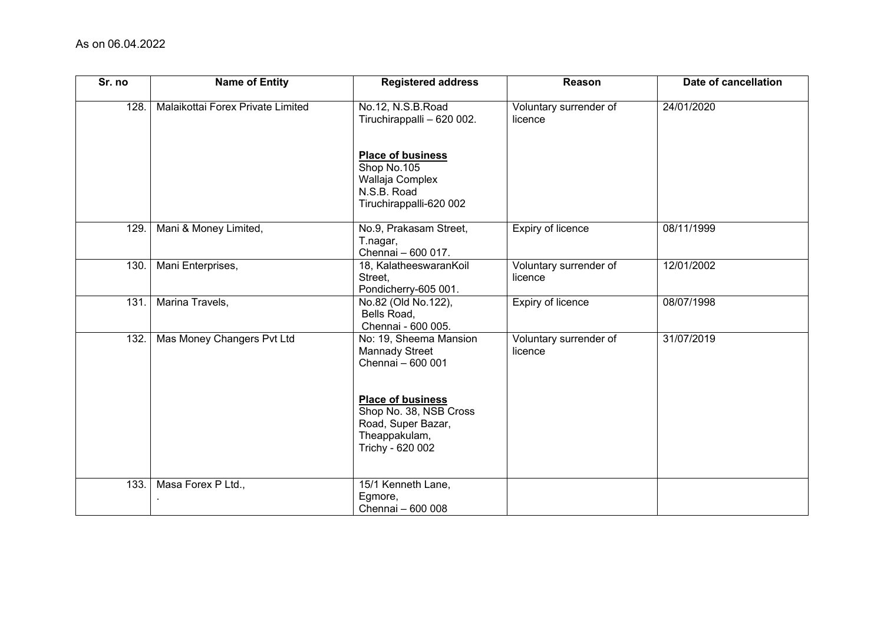| Sr. no | <b>Name of Entity</b>             | <b>Registered address</b>                                                                                                                        | Reason                            | Date of cancellation |
|--------|-----------------------------------|--------------------------------------------------------------------------------------------------------------------------------------------------|-----------------------------------|----------------------|
| 128.   | Malaikottai Forex Private Limited | No.12, N.S.B.Road<br>Tiruchirappalli - 620 002.                                                                                                  | Voluntary surrender of<br>licence | 24/01/2020           |
|        |                                   | <b>Place of business</b><br>Shop No.105<br>Wallaja Complex<br>N.S.B. Road<br>Tiruchirappalli-620 002                                             |                                   |                      |
| 129.   | Mani & Money Limited,             | No.9, Prakasam Street,<br>T.nagar,<br>Chennai - 600 017.                                                                                         | Expiry of licence                 | 08/11/1999           |
| 130.   | Mani Enterprises,                 | 18, KalatheeswaranKoil<br>Street,<br>Pondicherry-605 001.                                                                                        | Voluntary surrender of<br>licence | 12/01/2002           |
| 131.   | Marina Travels,                   | No.82 (Old No.122),<br>Bells Road,<br>Chennai - 600 005.                                                                                         | Expiry of licence                 | 08/07/1998           |
| 132.   | Mas Money Changers Pvt Ltd        | No: 19, Sheema Mansion<br><b>Mannady Street</b><br>Chennai - 600 001<br><b>Place of business</b><br>Shop No. 38, NSB Cross<br>Road, Super Bazar, | Voluntary surrender of<br>licence | 31/07/2019           |
|        |                                   | Theappakulam,<br>Trichy - 620 002                                                                                                                |                                   |                      |
| 133.   | Masa Forex P Ltd.,                | 15/1 Kenneth Lane,<br>Egmore,<br>Chennai - 600 008                                                                                               |                                   |                      |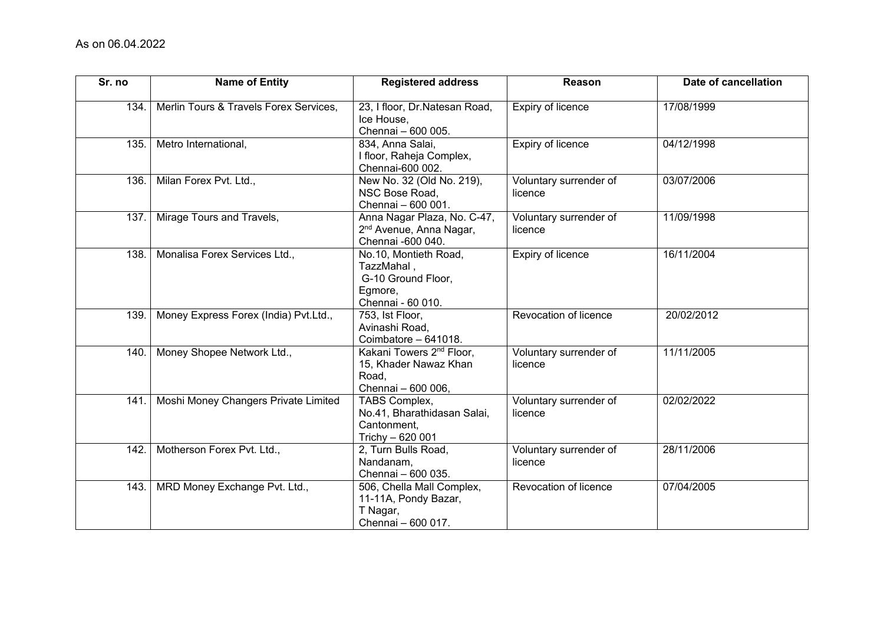| Sr. no | <b>Name of Entity</b>                  | <b>Registered address</b>                                                                    | Reason                            | Date of cancellation |
|--------|----------------------------------------|----------------------------------------------------------------------------------------------|-----------------------------------|----------------------|
| 134.   | Merlin Tours & Travels Forex Services, | 23, I floor, Dr.Natesan Road,<br>Ice House,<br>Chennai - 600 005.                            | <b>Expiry of licence</b>          | 17/08/1999           |
| 135.   | Metro International,                   | 834, Anna Salai,<br>I floor, Raheja Complex,<br>Chennai-600 002.                             | Expiry of licence                 | 04/12/1998           |
| 136.   | Milan Forex Pvt. Ltd.,                 | New No. 32 (Old No. 219),<br>NSC Bose Road,<br>Chennai - 600 001.                            | Voluntary surrender of<br>licence | 03/07/2006           |
| 137.   | Mirage Tours and Travels,              | Anna Nagar Plaza, No. C-47,<br>2 <sup>nd</sup> Avenue, Anna Nagar,<br>Chennai -600 040.      | Voluntary surrender of<br>licence | 11/09/1998           |
| 138.   | Monalisa Forex Services Ltd.,          | No.10, Montieth Road,<br>TazzMahal,<br>G-10 Ground Floor,<br>Egmore,<br>Chennai - 60 010.    | Expiry of licence                 | 16/11/2004           |
| 139.   | Money Express Forex (India) Pvt.Ltd.,  | 753, Ist Floor,<br>Avinashi Road,<br>Coimbatore - 641018.                                    | Revocation of licence             | 20/02/2012           |
| 140.   | Money Shopee Network Ltd.,             | Kakani Towers 2 <sup>nd</sup> Floor,<br>15, Khader Nawaz Khan<br>Road,<br>Chennai - 600 006, | Voluntary surrender of<br>licence | 11/11/2005           |
| 141    | Moshi Money Changers Private Limited   | TABS Complex,<br>No.41, Bharathidasan Salai,<br>Cantonment,<br>Trichy - 620 001              | Voluntary surrender of<br>licence | 02/02/2022           |
| 142.   | Motherson Forex Pvt. Ltd.,             | 2, Turn Bulls Road,<br>Nandanam,<br>Chennai - 600 035.                                       | Voluntary surrender of<br>licence | 28/11/2006           |
| 143.   | MRD Money Exchange Pvt. Ltd.,          | 506, Chella Mall Complex,<br>11-11A, Pondy Bazar,<br>T Nagar,<br>Chennai - 600 017.          | Revocation of licence             | 07/04/2005           |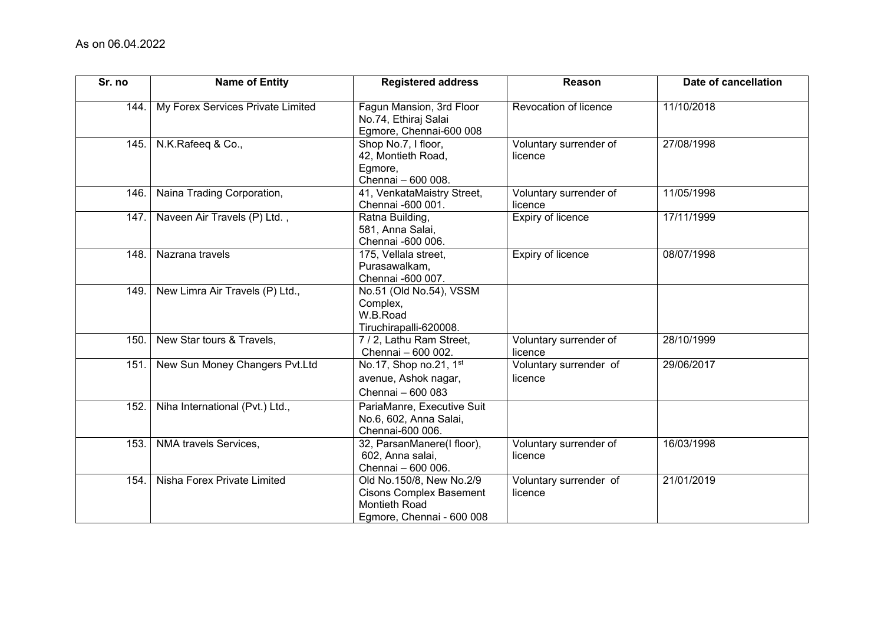| Sr. no | <b>Name of Entity</b>             | <b>Registered address</b>                                                                                | Reason                            | Date of cancellation |
|--------|-----------------------------------|----------------------------------------------------------------------------------------------------------|-----------------------------------|----------------------|
| 144.   | My Forex Services Private Limited | Fagun Mansion, 3rd Floor<br>No.74, Ethiraj Salai<br>Egmore, Chennai-600 008                              | Revocation of licence             | 11/10/2018           |
| 145.   | N.K.Rafeeq & Co.,                 | Shop No.7, I floor,<br>42, Montieth Road,<br>Egmore,<br>Chennai - 600 008.                               | Voluntary surrender of<br>licence | 27/08/1998           |
| 146.   | Naina Trading Corporation,        | 41, VenkataMaistry Street,<br>Chennai -600 001.                                                          | Voluntary surrender of<br>licence | 11/05/1998           |
| 147.   | Naveen Air Travels (P) Ltd.,      | Ratna Building,<br>581, Anna Salai,<br>Chennai -600 006.                                                 | Expiry of licence                 | 17/11/1999           |
| 148.   | Nazrana travels                   | 175, Vellala street,<br>Purasawalkam,<br>Chennai -600 007.                                               | Expiry of licence                 | 08/07/1998           |
| 149.   | New Limra Air Travels (P) Ltd.,   | No.51 (Old No.54), VSSM<br>Complex,<br>W.B.Road<br>Tiruchirapalli-620008.                                |                                   |                      |
| 150.   | New Star tours & Travels,         | 7 / 2, Lathu Ram Street,<br>Chennai - 600 002.                                                           | Voluntary surrender of<br>licence | 28/10/1999           |
| 151.   | New Sun Money Changers Pvt.Ltd    | No.17, Shop no.21, 1st<br>avenue, Ashok nagar,<br>Chennai - 600 083                                      | Voluntary surrender of<br>licence | 29/06/2017           |
| 152.   | Niha International (Pvt.) Ltd.,   | PariaManre, Executive Suit<br>No.6, 602, Anna Salai,<br>Chennai-600 006.                                 |                                   |                      |
| 153.   | NMA travels Services,             | 32, ParsanManere(I floor),<br>602, Anna salai,<br>Chennai - 600 006.                                     | Voluntary surrender of<br>licence | 16/03/1998           |
| 154.   | Nisha Forex Private Limited       | Old No.150/8, New No.2/9<br><b>Cisons Complex Basement</b><br>Montieth Road<br>Egmore, Chennai - 600 008 | Voluntary surrender of<br>licence | 21/01/2019           |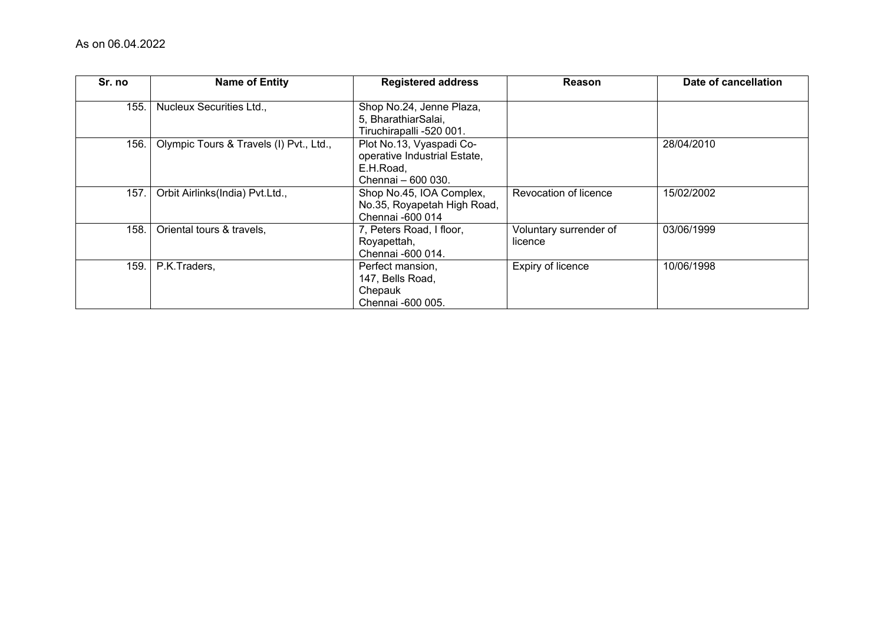| Sr. no | <b>Name of Entity</b>                   | <b>Registered address</b>                                                                   | Reason                            | Date of cancellation |
|--------|-----------------------------------------|---------------------------------------------------------------------------------------------|-----------------------------------|----------------------|
| 155.   | Nucleux Securities Ltd.,                | Shop No.24, Jenne Plaza,<br>5, BharathiarSalai,<br>Tiruchirapalli -520 001.                 |                                   |                      |
| 156.   | Olympic Tours & Travels (I) Pvt., Ltd., | Plot No.13, Vyaspadi Co-<br>operative Industrial Estate,<br>E.H.Road,<br>Chennai - 600 030. |                                   | 28/04/2010           |
| 157.   | Orbit Airlinks(India) Pvt.Ltd.,         | Shop No.45, IOA Complex,<br>No.35, Royapetah High Road,<br>Chennai -600 014                 | Revocation of licence             | 15/02/2002           |
| 158.   | Oriental tours & travels,               | 7, Peters Road, I floor,<br>Royapettah,<br>Chennai -600 014.                                | Voluntary surrender of<br>licence | 03/06/1999           |
| 159.   | P.K.Traders,                            | Perfect mansion,<br>147, Bells Road,<br>Chepauk<br>Chennai -600 005.                        | Expiry of licence                 | 10/06/1998           |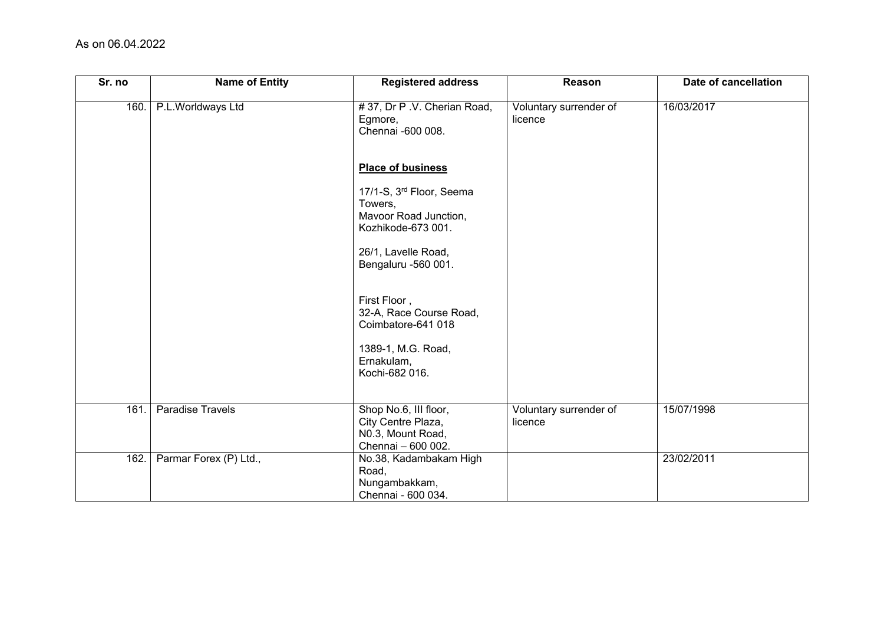| Sr. no | <b>Name of Entity</b>  | <b>Registered address</b>                                                              | Reason                            | Date of cancellation |
|--------|------------------------|----------------------------------------------------------------------------------------|-----------------------------------|----------------------|
| 160.   | P.L.Worldways Ltd      | #37, Dr P .V. Cherian Road,<br>Egmore,<br>Chennai -600 008.                            | Voluntary surrender of<br>licence | 16/03/2017           |
|        |                        | <b>Place of business</b>                                                               |                                   |                      |
|        |                        | 17/1-S, 3rd Floor, Seema<br>Towers,<br>Mavoor Road Junction,<br>Kozhikode-673 001.     |                                   |                      |
|        |                        | 26/1, Lavelle Road,<br>Bengaluru -560 001.                                             |                                   |                      |
|        |                        | First Floor,<br>32-A, Race Course Road,<br>Coimbatore-641 018                          |                                   |                      |
|        |                        | 1389-1, M.G. Road,<br>Ernakulam,<br>Kochi-682 016.                                     |                                   |                      |
| 161.   | Paradise Travels       | Shop No.6, III floor,<br>City Centre Plaza,<br>N0.3, Mount Road,<br>Chennai - 600 002. | Voluntary surrender of<br>licence | 15/07/1998           |
| 162.   | Parmar Forex (P) Ltd., | No.38, Kadambakam High<br>Road,<br>Nungambakkam,<br>Chennai - 600 034.                 |                                   | 23/02/2011           |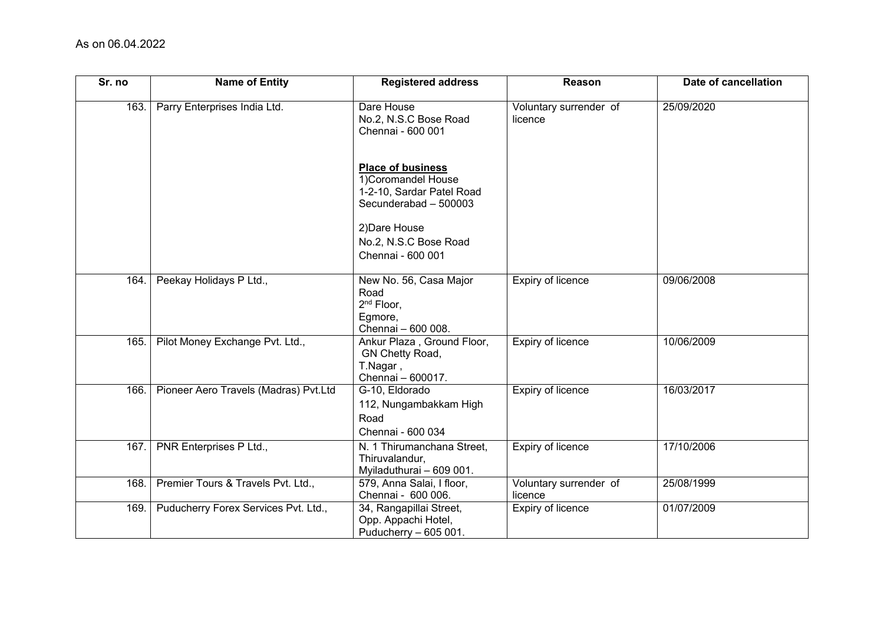| Sr. no | <b>Name of Entity</b>                 | <b>Registered address</b>                                                                             | Reason                            | Date of cancellation |
|--------|---------------------------------------|-------------------------------------------------------------------------------------------------------|-----------------------------------|----------------------|
| 163.   | Parry Enterprises India Ltd.          | Dare House<br>No.2, N.S.C Bose Road<br>Chennai - 600 001                                              | Voluntary surrender of<br>licence | 25/09/2020           |
|        |                                       | <b>Place of business</b><br>1) Coromandel House<br>1-2-10, Sardar Patel Road<br>Secunderabad - 500003 |                                   |                      |
|        |                                       | 2) Dare House                                                                                         |                                   |                      |
|        |                                       | No.2, N.S.C Bose Road                                                                                 |                                   |                      |
|        |                                       | Chennai - 600 001                                                                                     |                                   |                      |
| 164.   | Peekay Holidays P Ltd.,               | New No. 56, Casa Major<br>Road<br>2 <sup>nd</sup> Floor,<br>Egmore,<br>Chennai - 600 008.             | <b>Expiry of licence</b>          | 09/06/2008           |
| 165.   | Pilot Money Exchange Pvt. Ltd.,       | Ankur Plaza, Ground Floor,<br>GN Chetty Road,<br>T.Nagar,<br>Chennai - 600017.                        | Expiry of licence                 | 10/06/2009           |
| 166.   | Pioneer Aero Travels (Madras) Pvt.Ltd | G-10, Eldorado<br>112, Nungambakkam High<br>Road<br>Chennai - 600 034                                 | <b>Expiry of licence</b>          | 16/03/2017           |
| 167.   | PNR Enterprises P Ltd.,               | N. 1 Thirumanchana Street,<br>Thiruvalandur,<br>Myiladuthurai - 609 001.                              | <b>Expiry of licence</b>          | 17/10/2006           |
| 168.   | Premier Tours & Travels Pvt. Ltd.,    | 579, Anna Salai, I floor,<br>Chennai - 600 006.                                                       | Voluntary surrender of<br>licence | 25/08/1999           |
| 169.   | Puducherry Forex Services Pvt. Ltd.,  | 34, Rangapillai Street,<br>Opp. Appachi Hotel,<br>Puducherry - 605 001.                               | Expiry of licence                 | 01/07/2009           |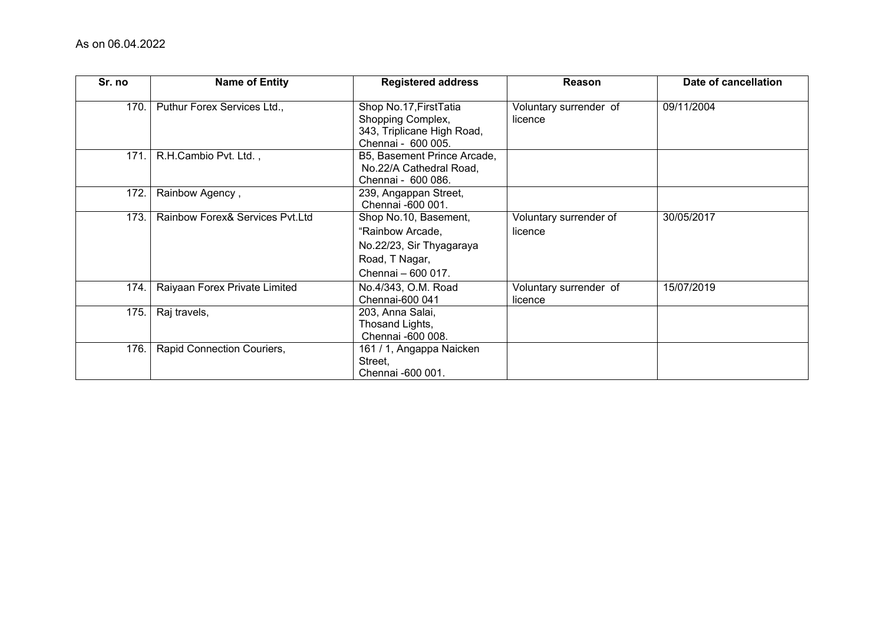| Sr. no | <b>Name of Entity</b>           | <b>Registered address</b>                                                                                     | Reason                            | Date of cancellation |
|--------|---------------------------------|---------------------------------------------------------------------------------------------------------------|-----------------------------------|----------------------|
| 170.   | Puthur Forex Services Ltd.,     | Shop No.17, First Tatia<br>Shopping Complex,<br>343, Triplicane High Road,<br>Chennai - 600 005.              | Voluntary surrender of<br>licence | 09/11/2004           |
| 171.   | R.H.Cambio Pvt. Ltd.,           | B5, Basement Prince Arcade,<br>No.22/A Cathedral Road,<br>Chennai - 600 086.                                  |                                   |                      |
| 172.   | Rainbow Agency,                 | 239, Angappan Street,<br>Chennai -600 001.                                                                    |                                   |                      |
| 173.   | Rainbow Forex& Services Pvt.Ltd | Shop No.10, Basement,<br>"Rainbow Arcade,<br>No.22/23, Sir Thyagaraya<br>Road, T Nagar,<br>Chennai - 600 017. | Voluntary surrender of<br>licence | 30/05/2017           |
| 174.   | Raiyaan Forex Private Limited   | No.4/343, O.M. Road<br>Chennai-600 041                                                                        | Voluntary surrender of<br>licence | 15/07/2019           |
| 175.   | Raj travels,                    | 203, Anna Salai,<br>Thosand Lights,<br>Chennai -600 008.                                                      |                                   |                      |
| 176.   | Rapid Connection Couriers,      | 161 / 1, Angappa Naicken<br>Street,<br>Chennai -600 001.                                                      |                                   |                      |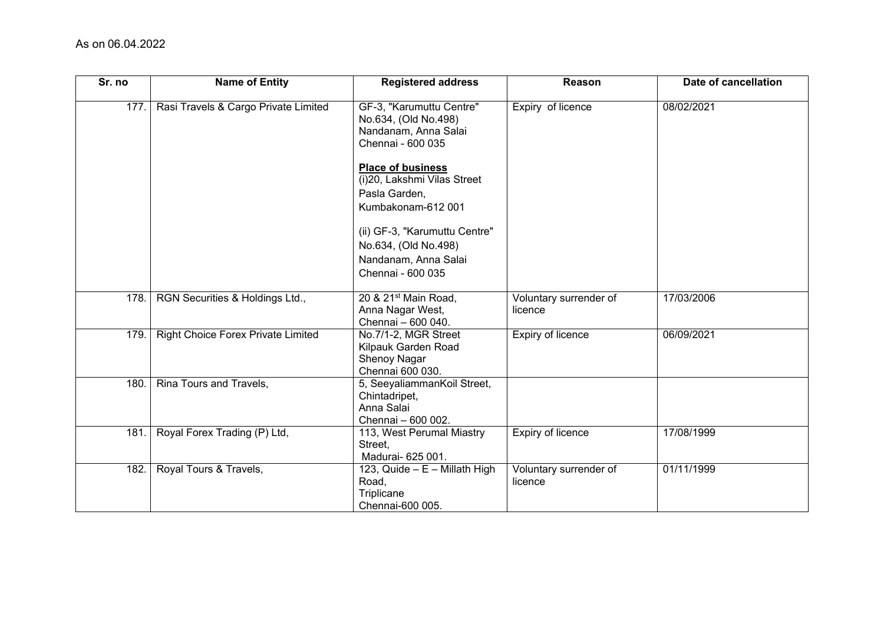| Sr. no | <b>Name of Entity</b>                     | <b>Registered address</b>                                                                     | Reason                            | Date of cancellation |
|--------|-------------------------------------------|-----------------------------------------------------------------------------------------------|-----------------------------------|----------------------|
| 177.   | Rasi Travels & Cargo Private Limited      | GF-3, "Karumuttu Centre"<br>No.634, (Old No.498)<br>Nandanam, Anna Salai<br>Chennai - 600 035 | Expiry of licence                 | 08/02/2021           |
|        |                                           | Place of business<br>(i)20, Lakshmi Vilas Street                                              |                                   |                      |
|        |                                           | Pasla Garden,<br>Kumbakonam-612 001                                                           |                                   |                      |
|        |                                           | (ii) GF-3, "Karumuttu Centre"<br>No.634, (Old No.498)<br>Nandanam, Anna Salai                 |                                   |                      |
|        |                                           | Chennai - 600 035                                                                             |                                   |                      |
| 178.   | RGN Securities & Holdings Ltd.,           | 20 & 21 <sup>st</sup> Main Road,<br>Anna Nagar West,<br>Chennai - 600 040.                    | Voluntary surrender of<br>licence | 17/03/2006           |
| 179.   | <b>Right Choice Forex Private Limited</b> | No.7/1-2, MGR Street<br>Kilpauk Garden Road<br>Shenoy Nagar<br>Chennai 600 030.               | Expiry of licence                 | 06/09/2021           |
| 180.   | Rina Tours and Travels,                   | 5, SeeyaliammanKoil Street,<br>Chintadripet,<br>Anna Salai<br>Chennai - 600 002.              |                                   |                      |
| 181.   | Royal Forex Trading (P) Ltd,              | 113, West Perumal Miastry<br>Street,<br>Madurai- 625 001.                                     | Expiry of licence                 | 17/08/1999           |
| 182.   | Royal Tours & Travels,                    | 123, Quide - E - Millath High<br>Road,<br>Triplicane<br>Chennai-600 005.                      | Voluntary surrender of<br>licence | 01/11/1999           |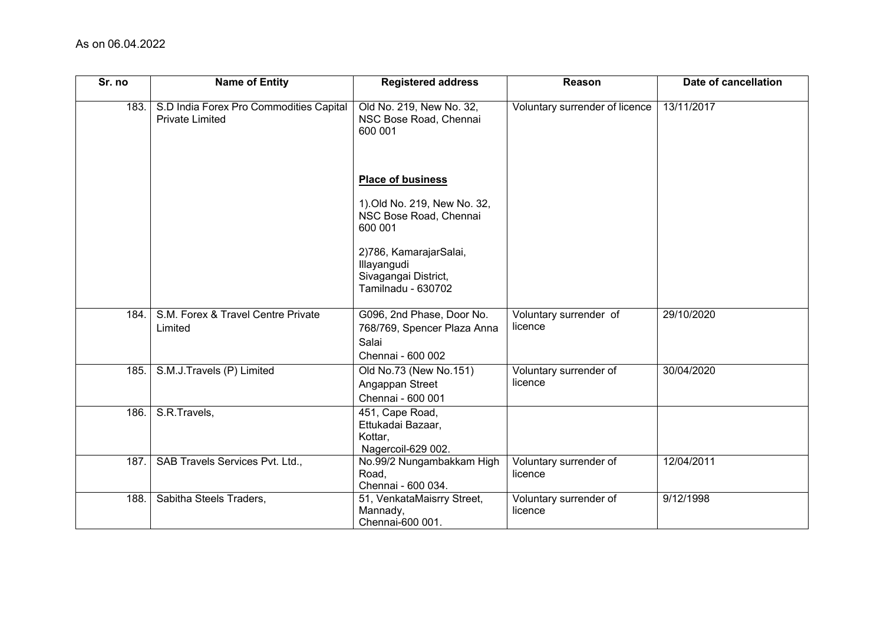| Sr. no | <b>Name of Entity</b>                                             | <b>Registered address</b>                                                              | Reason                            | Date of cancellation |
|--------|-------------------------------------------------------------------|----------------------------------------------------------------------------------------|-----------------------------------|----------------------|
| 183.   | S.D India Forex Pro Commodities Capital<br><b>Private Limited</b> | Old No. 219, New No. 32,<br>NSC Bose Road, Chennai<br>600 001                          | Voluntary surrender of licence    | 13/11/2017           |
|        |                                                                   | <b>Place of business</b>                                                               |                                   |                      |
|        |                                                                   | 1). Old No. 219, New No. 32,<br>NSC Bose Road, Chennai<br>600 001                      |                                   |                      |
|        |                                                                   | 2)786, KamarajarSalai,<br>Illayangudi<br>Sivagangai District,<br>Tamilnadu - 630702    |                                   |                      |
| 184.   | S.M. Forex & Travel Centre Private<br>Limited                     | G096, 2nd Phase, Door No.<br>768/769, Spencer Plaza Anna<br>Salai<br>Chennai - 600 002 | Voluntary surrender of<br>licence | 29/10/2020           |
| 185.   | S.M.J.Travels (P) Limited                                         | Old No.73 (New No.151)<br>Angappan Street<br>Chennai - 600 001                         | Voluntary surrender of<br>licence | 30/04/2020           |
| 186.   | S.R.Travels,                                                      | 451, Cape Road,<br>Ettukadai Bazaar,<br>Kottar,<br>Nagercoil-629 002.                  |                                   |                      |
| 187.   | SAB Travels Services Pvt. Ltd.,                                   | No.99/2 Nungambakkam High<br>Road,<br>Chennai - 600 034.                               | Voluntary surrender of<br>licence | 12/04/2011           |
| 188.   | Sabitha Steels Traders,                                           | 51, VenkataMaisrry Street,<br>Mannady,<br>Chennai-600 001.                             | Voluntary surrender of<br>licence | 9/12/1998            |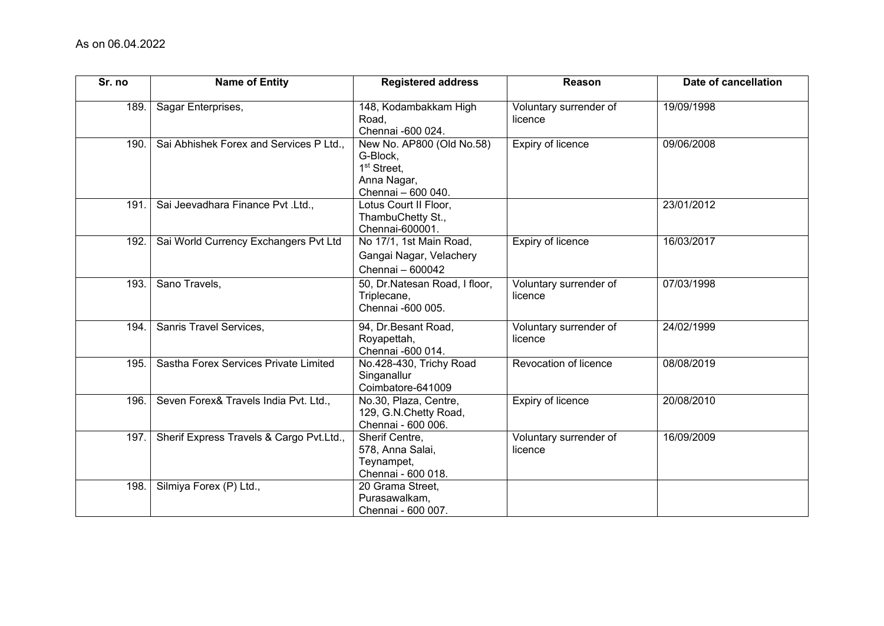| Sr. no | <b>Name of Entity</b>                    | <b>Registered address</b>                                                                             | Reason                            | Date of cancellation |
|--------|------------------------------------------|-------------------------------------------------------------------------------------------------------|-----------------------------------|----------------------|
| 189.   | Sagar Enterprises,                       | 148, Kodambakkam High<br>Road,<br>Chennai -600 024.                                                   | Voluntary surrender of<br>licence | 19/09/1998           |
| 190.   | Sai Abhishek Forex and Services P Ltd.,  | New No. AP800 (Old No.58)<br>G-Block,<br>1 <sup>st</sup> Street,<br>Anna Nagar,<br>Chennai - 600 040. | Expiry of licence                 | 09/06/2008           |
| 191.   | Sai Jeevadhara Finance Pvt .Ltd.,        | Lotus Court II Floor,<br>ThambuChetty St.,<br>Chennai-600001.                                         |                                   | 23/01/2012           |
| 192    | Sai World Currency Exchangers Pvt Ltd    | No 17/1, 1st Main Road,<br>Gangai Nagar, Velachery<br>Chennai - 600042                                | Expiry of licence                 | 16/03/2017           |
| 193.   | Sano Travels,                            | 50, Dr.Natesan Road, I floor,<br>Triplecane,<br>Chennai -600 005.                                     | Voluntary surrender of<br>licence | 07/03/1998           |
| 194.   | Sanris Travel Services,                  | 94, Dr.Besant Road,<br>Royapettah,<br>Chennai -600 014.                                               | Voluntary surrender of<br>licence | 24/02/1999           |
| 195.   | Sastha Forex Services Private Limited    | No.428-430, Trichy Road<br>Singanallur<br>Coimbatore-641009                                           | Revocation of licence             | 08/08/2019           |
| 196.   | Seven Forex& Travels India Pvt. Ltd.,    | No.30, Plaza, Centre,<br>129, G.N.Chetty Road,<br>Chennai - 600 006.                                  | Expiry of licence                 | 20/08/2010           |
| 197.   | Sherif Express Travels & Cargo Pvt.Ltd., | Sherif Centre,<br>578, Anna Salai,<br>Teynampet,<br>Chennai - 600 018.                                | Voluntary surrender of<br>licence | 16/09/2009           |
| 198.   | Silmiya Forex (P) Ltd.,                  | 20 Grama Street,<br>Purasawalkam,<br>Chennai - 600 007.                                               |                                   |                      |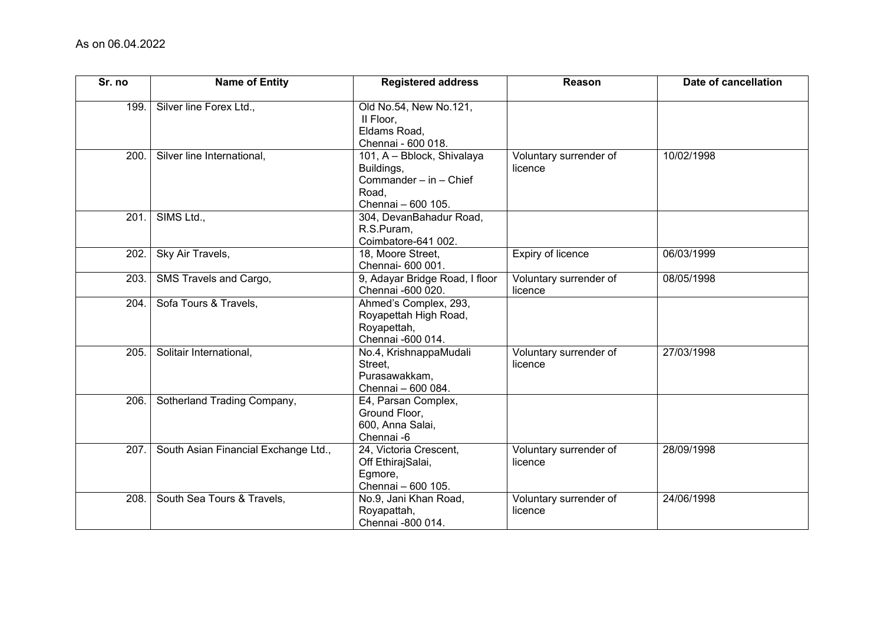| Sr. no | <b>Name of Entity</b>                | <b>Registered address</b>                                                                         | Reason                            | Date of cancellation |
|--------|--------------------------------------|---------------------------------------------------------------------------------------------------|-----------------------------------|----------------------|
| 199.   | Silver line Forex Ltd.,              | Old No.54, New No.121,<br>II Floor,<br>Eldams Road,<br>Chennai - 600 018.                         |                                   |                      |
| 200.   | Silver line International,           | 101, A - Bblock, Shivalaya<br>Buildings,<br>Commander - in - Chief<br>Road.<br>Chennai - 600 105. | Voluntary surrender of<br>licence | 10/02/1998           |
| 201.   | SIMS Ltd.,                           | 304, DevanBahadur Road,<br>R.S.Puram,<br>Coimbatore-641 002.                                      |                                   |                      |
| 202.   | Sky Air Travels,                     | 18, Moore Street,<br>Chennai- 600 001.                                                            | <b>Expiry of licence</b>          | 06/03/1999           |
| 203.   | SMS Travels and Cargo,               | 9, Adayar Bridge Road, I floor<br>Chennai -600 020.                                               | Voluntary surrender of<br>licence | 08/05/1998           |
| 204.   | Sofa Tours & Travels,                | Ahmed's Complex, 293,<br>Royapettah High Road,<br>Royapettah,<br>Chennai -600 014.                |                                   |                      |
| 205.   | Solitair International,              | No.4, KrishnappaMudali<br>Street.<br>Purasawakkam,<br>Chennai - 600 084.                          | Voluntary surrender of<br>licence | 27/03/1998           |
| 206.   | Sotherland Trading Company,          | E4, Parsan Complex,<br>Ground Floor,<br>600, Anna Salai,<br>Chennai -6                            |                                   |                      |
| 207.   | South Asian Financial Exchange Ltd., | 24, Victoria Crescent,<br>Off EthirajSalai,<br>Egmore,<br>Chennai - 600 105.                      | Voluntary surrender of<br>licence | 28/09/1998           |
| 208.   | South Sea Tours & Travels,           | No.9, Jani Khan Road,<br>Royapattah,<br>Chennai -800 014.                                         | Voluntary surrender of<br>licence | 24/06/1998           |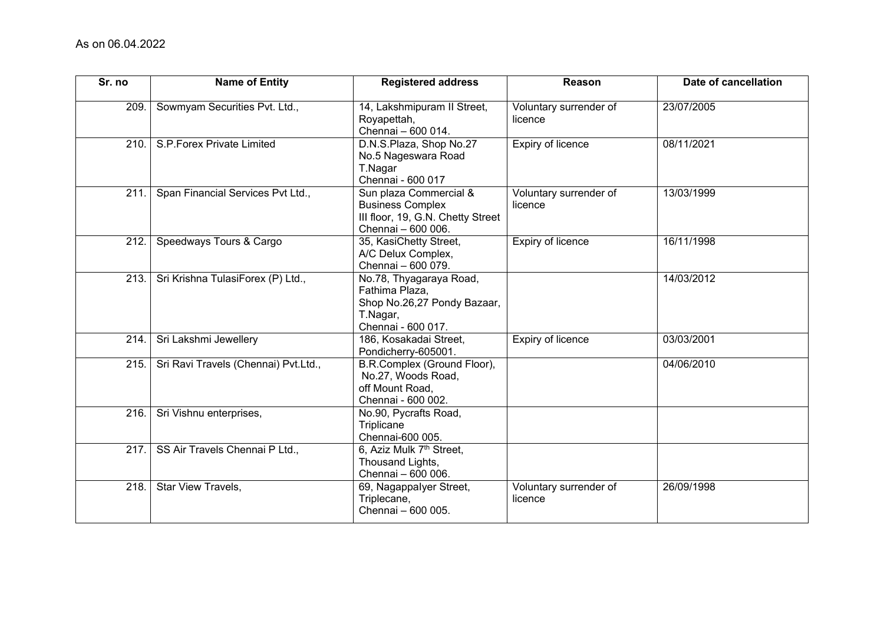| Sr. no | <b>Name of Entity</b>                | <b>Registered address</b>                                                                                    | Reason                            | Date of cancellation |
|--------|--------------------------------------|--------------------------------------------------------------------------------------------------------------|-----------------------------------|----------------------|
| 209.   | Sowmyam Securities Pvt. Ltd.,        | 14, Lakshmipuram II Street,<br>Royapettah,<br>Chennai - 600 014.                                             | Voluntary surrender of<br>licence | 23/07/2005           |
| 210.   | S.P.Forex Private Limited            | D.N.S.Plaza, Shop No.27<br>No.5 Nageswara Road<br>T.Nagar<br>Chennai - 600 017                               | Expiry of licence                 | 08/11/2021           |
| 211.   | Span Financial Services Pvt Ltd.,    | Sun plaza Commercial &<br><b>Business Complex</b><br>III floor, 19, G.N. Chetty Street<br>Chennai - 600 006. | Voluntary surrender of<br>licence | 13/03/1999           |
| 212.   | Speedways Tours & Cargo              | 35, KasiChetty Street,<br>A/C Delux Complex,<br>Chennai - 600 079.                                           | Expiry of licence                 | 16/11/1998           |
| 213.   | Sri Krishna TulasiForex (P) Ltd.,    | No.78, Thyagaraya Road,<br>Fathima Plaza,<br>Shop No.26,27 Pondy Bazaar,<br>T.Nagar,<br>Chennai - 600 017.   |                                   | 14/03/2012           |
| 214.   | Sri Lakshmi Jewellery                | 186, Kosakadai Street,<br>Pondicherry-605001.                                                                | Expiry of licence                 | 03/03/2001           |
| 215.   | Sri Ravi Travels (Chennai) Pvt.Ltd., | B.R.Complex (Ground Floor),<br>No.27, Woods Road,<br>off Mount Road,<br>Chennai - 600 002.                   |                                   | 04/06/2010           |
| 216.   | Sri Vishnu enterprises,              | No.90, Pycrafts Road,<br>Triplicane<br>Chennai-600 005.                                                      |                                   |                      |
| 217.   | SS Air Travels Chennai P Ltd.,       | 6, Aziz Mulk 7 <sup>th</sup> Street,<br>Thousand Lights,<br>Chennai - 600 006.                               |                                   |                      |
| 218.   | Star View Travels,                   | 69, Nagappalyer Street,<br>Triplecane,<br>Chennai - 600 005.                                                 | Voluntary surrender of<br>licence | 26/09/1998           |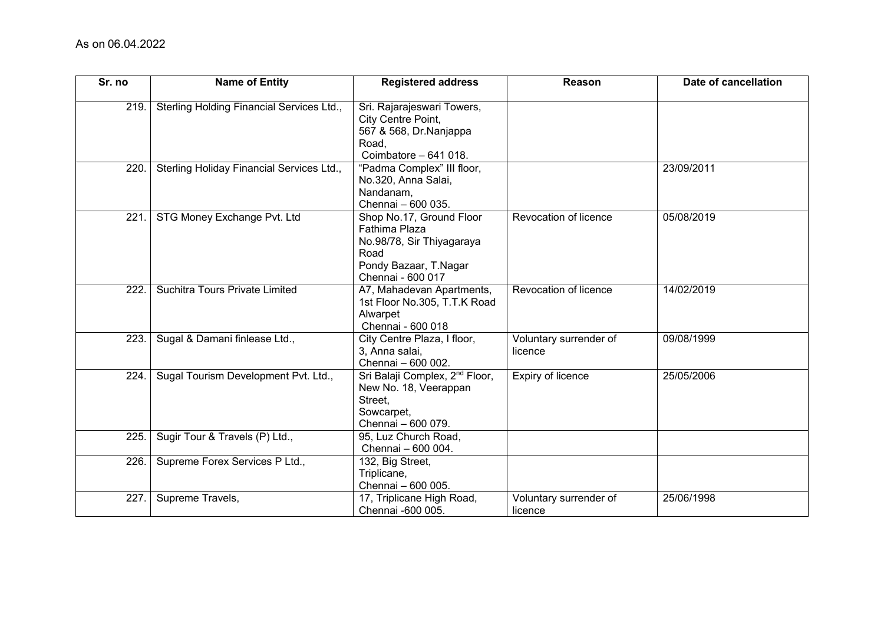| Sr. no | <b>Name of Entity</b>                     | <b>Registered address</b>                                                                                                    | Reason                            | Date of cancellation |
|--------|-------------------------------------------|------------------------------------------------------------------------------------------------------------------------------|-----------------------------------|----------------------|
| 219.   | Sterling Holding Financial Services Ltd., | Sri. Rajarajeswari Towers,<br>City Centre Point,<br>567 & 568, Dr.Nanjappa<br>Road,<br>Coimbatore - 641 018.                 |                                   |                      |
| 220.   | Sterling Holiday Financial Services Ltd., | "Padma Complex" III floor,<br>No.320, Anna Salai,<br>Nandanam,<br>Chennai - 600 035.                                         |                                   | 23/09/2011           |
| 221.   | STG Money Exchange Pvt. Ltd               | Shop No.17, Ground Floor<br>Fathima Plaza<br>No.98/78, Sir Thiyagaraya<br>Road<br>Pondy Bazaar, T.Nagar<br>Chennai - 600 017 | Revocation of licence             | 05/08/2019           |
| 222.   | Suchitra Tours Private Limited            | A7, Mahadevan Apartments,<br>1st Floor No.305, T.T.K Road<br>Alwarpet<br>Chennai - 600 018                                   | Revocation of licence             | 14/02/2019           |
| 223.   | Sugal & Damani finlease Ltd.,             | City Centre Plaza, I floor,<br>3, Anna salai,<br>Chennai - 600 002.                                                          | Voluntary surrender of<br>licence | 09/08/1999           |
| 224.   | Sugal Tourism Development Pvt. Ltd.,      | Sri Balaji Complex, 2 <sup>nd</sup> Floor,<br>New No. 18, Veerappan<br>Street,<br>Sowcarpet,<br>Chennai - 600 079.           | Expiry of licence                 | 25/05/2006           |
| 225.   | Sugir Tour & Travels (P) Ltd.,            | 95, Luz Church Road,<br>Chennai - 600 004.                                                                                   |                                   |                      |
| 226.   | Supreme Forex Services P Ltd.,            | 132, Big Street,<br>Triplicane,<br>Chennai - 600 005.                                                                        |                                   |                      |
| 227.   | Supreme Travels,                          | 17, Triplicane High Road,<br>Chennai -600 005.                                                                               | Voluntary surrender of<br>licence | 25/06/1998           |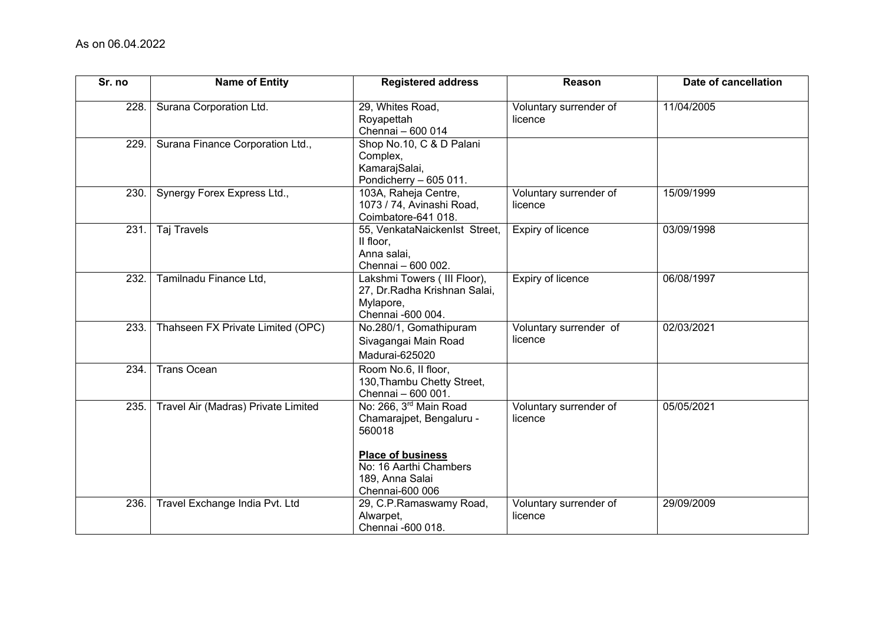| Sr. no | <b>Name of Entity</b>               | <b>Registered address</b>                                                                                                                         | Reason                            | Date of cancellation |
|--------|-------------------------------------|---------------------------------------------------------------------------------------------------------------------------------------------------|-----------------------------------|----------------------|
| 228.   | Surana Corporation Ltd.             | 29, Whites Road,<br>Royapettah<br>Chennai - 600 014                                                                                               | Voluntary surrender of<br>licence | 11/04/2005           |
| 229.   | Surana Finance Corporation Ltd.,    | Shop No.10, C & D Palani<br>Complex,<br>KamarajSalai,<br>Pondicherry - 605 011.                                                                   |                                   |                      |
| 230.   | Synergy Forex Express Ltd.,         | 103A, Raheja Centre,<br>1073 / 74, Avinashi Road,<br>Coimbatore-641 018.                                                                          | Voluntary surrender of<br>licence | 15/09/1999           |
| 231.   | <b>Taj Travels</b>                  | 55, VenkataNaickenIst Street,<br>II floor,<br>Anna salai,<br>Chennai - 600 002.                                                                   | Expiry of licence                 | 03/09/1998           |
| 232.   | Tamilnadu Finance Ltd,              | Lakshmi Towers (III Floor),<br>27, Dr.Radha Krishnan Salai,<br>Mylapore,<br>Chennai -600 004.                                                     | <b>Expiry of licence</b>          | 06/08/1997           |
| 233.   | Thahseen FX Private Limited (OPC)   | No.280/1, Gomathipuram<br>Sivagangai Main Road<br>Madurai-625020                                                                                  | Voluntary surrender of<br>licence | 02/03/2021           |
| 234.   | <b>Trans Ocean</b>                  | Room No.6, II floor,<br>130, Thambu Chetty Street,<br>Chennai - 600 001.                                                                          |                                   |                      |
| 235.   | Travel Air (Madras) Private Limited | No: 266, 3 <sup>rd</sup> Main Road<br>Chamarajpet, Bengaluru -<br>560018<br><b>Place of business</b><br>No: 16 Aarthi Chambers<br>189, Anna Salai | Voluntary surrender of<br>licence | 05/05/2021           |
| 236.   | Travel Exchange India Pvt. Ltd      | Chennai-600 006<br>29, C.P.Ramaswamy Road,<br>Alwarpet,<br>Chennai -600 018.                                                                      | Voluntary surrender of<br>licence | 29/09/2009           |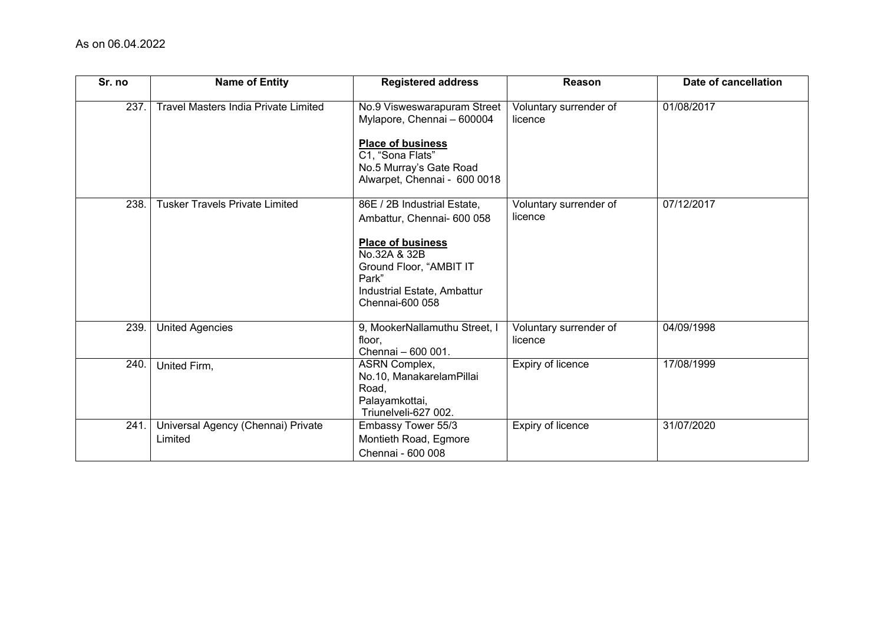| Sr. no | <b>Name of Entity</b>                         | <b>Registered address</b>                                                                                                                                                                   | Reason                            | Date of cancellation |
|--------|-----------------------------------------------|---------------------------------------------------------------------------------------------------------------------------------------------------------------------------------------------|-----------------------------------|----------------------|
| 237.   | <b>Travel Masters India Private Limited</b>   | No.9 Visweswarapuram Street<br>Mylapore, Chennai - 600004<br><b>Place of business</b><br>C1, "Sona Flats"<br>No.5 Murray's Gate Road<br>Alwarpet, Chennai - 600 0018                        | Voluntary surrender of<br>licence | 01/08/2017           |
| 238.   | <b>Tusker Travels Private Limited</b>         | 86E / 2B Industrial Estate,<br>Ambattur, Chennai- 600 058<br><b>Place of business</b><br>No.32A & 32B<br>Ground Floor, "AMBIT IT<br>Park"<br>Industrial Estate, Ambattur<br>Chennai-600 058 | Voluntary surrender of<br>licence | 07/12/2017           |
| 239.   | <b>United Agencies</b>                        | 9, MookerNallamuthu Street, I<br>floor,<br>Chennai - 600 001.                                                                                                                               | Voluntary surrender of<br>licence | 04/09/1998           |
| 240.   | United Firm,                                  | <b>ASRN Complex,</b><br>No.10, ManakarelamPillai<br>Road,<br>Palayamkottai,<br>Triunelveli-627 002.                                                                                         | Expiry of licence                 | 17/08/1999           |
| 241.   | Universal Agency (Chennai) Private<br>Limited | Embassy Tower 55/3<br>Montieth Road, Egmore<br>Chennai - 600 008                                                                                                                            | Expiry of licence                 | 31/07/2020           |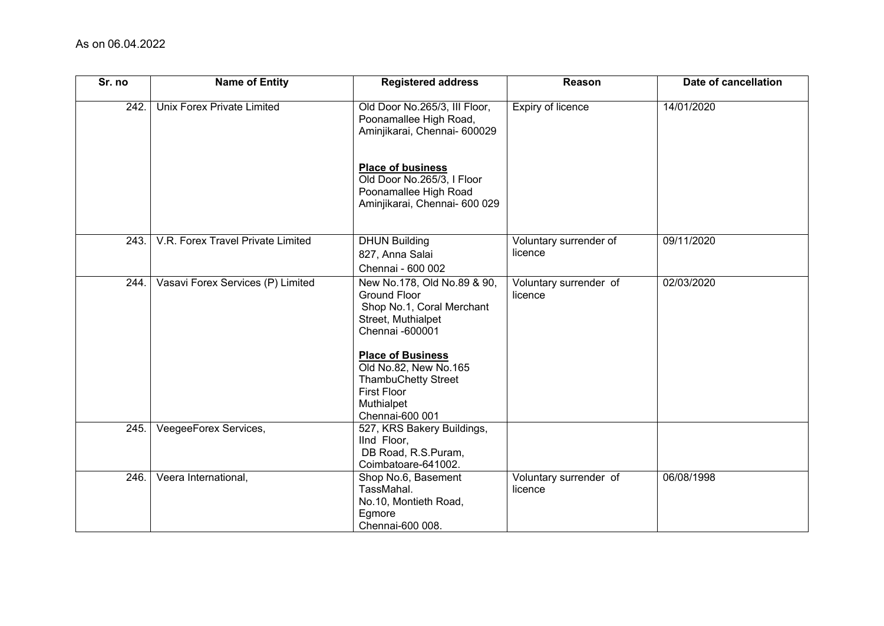| Sr. no | <b>Name of Entity</b>             | <b>Registered address</b>                                                                                                                            | Reason                            | Date of cancellation |
|--------|-----------------------------------|------------------------------------------------------------------------------------------------------------------------------------------------------|-----------------------------------|----------------------|
| 242.   | <b>Unix Forex Private Limited</b> | Old Door No.265/3, III Floor,<br>Poonamallee High Road,<br>Aminjikarai, Chennai- 600029                                                              | Expiry of licence                 | 14/01/2020           |
|        |                                   | <b>Place of business</b><br>Old Door No.265/3, I Floor<br>Poonamallee High Road<br>Aminjikarai, Chennai- 600 029                                     |                                   |                      |
| 243.   | V.R. Forex Travel Private Limited | <b>DHUN Building</b><br>827, Anna Salai<br>Chennai - 600 002                                                                                         | Voluntary surrender of<br>licence | 09/11/2020           |
| 244.   | Vasavi Forex Services (P) Limited | New No.178, Old No.89 & 90,<br><b>Ground Floor</b><br>Shop No.1, Coral Merchant<br>Street, Muthialpet<br>Chennai -600001<br><b>Place of Business</b> | Voluntary surrender of<br>licence | 02/03/2020           |
|        |                                   | Old No.82, New No.165<br><b>ThambuChetty Street</b><br><b>First Floor</b><br>Muthialpet<br>Chennai-600 001                                           |                                   |                      |
| 245.   | VeegeeForex Services,             | 527, KRS Bakery Buildings,<br>IInd Floor,<br>DB Road, R.S.Puram,<br>Coimbatoare-641002.                                                              |                                   |                      |
| 246.   | Veera International,              | Shop No.6, Basement<br>TassMahal.<br>No.10, Montieth Road,<br>Egmore<br>Chennai-600 008.                                                             | Voluntary surrender of<br>licence | 06/08/1998           |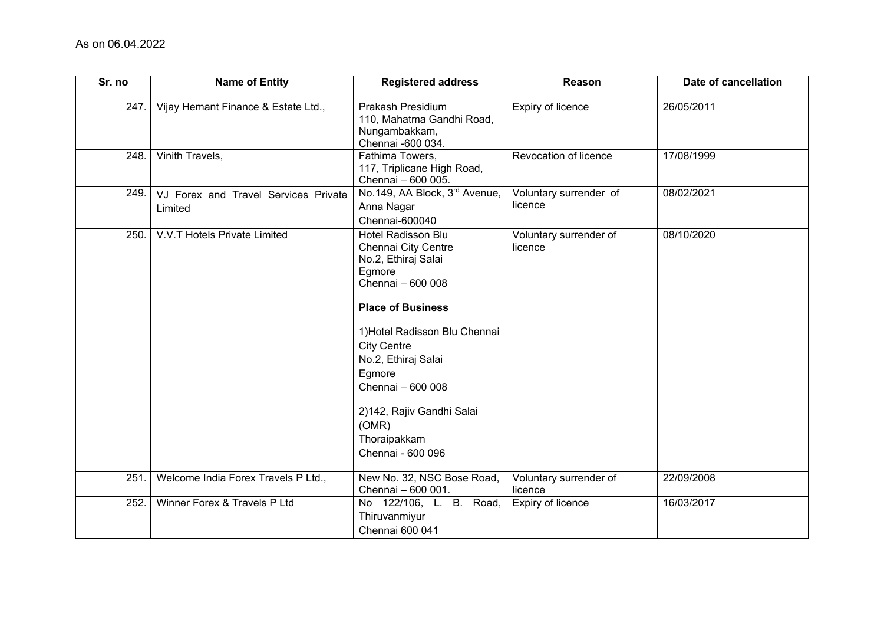| Sr. no | <b>Name of Entity</b>                           | <b>Registered address</b>                                                                                                                                                                                                                                                                                                  | Reason                            | Date of cancellation |
|--------|-------------------------------------------------|----------------------------------------------------------------------------------------------------------------------------------------------------------------------------------------------------------------------------------------------------------------------------------------------------------------------------|-----------------------------------|----------------------|
| 247.   | Vijay Hemant Finance & Estate Ltd.,             | Prakash Presidium<br>110, Mahatma Gandhi Road,<br>Nungambakkam,<br>Chennai -600 034.                                                                                                                                                                                                                                       | <b>Expiry of licence</b>          | 26/05/2011           |
| 248.   | Vinith Travels,                                 | Fathima Towers,<br>117, Triplicane High Road,<br>Chennai - 600 005.                                                                                                                                                                                                                                                        | Revocation of licence             | 17/08/1999           |
| 249.   | VJ Forex and Travel Services Private<br>Limited | No.149, AA Block, 3rd Avenue,<br>Anna Nagar<br>Chennai-600040                                                                                                                                                                                                                                                              | Voluntary surrender of<br>licence | 08/02/2021           |
| 250.   | V.V.T Hotels Private Limited                    | <b>Hotel Radisson Blu</b><br>Chennai City Centre<br>No.2, Ethiraj Salai<br>Egmore<br>Chennai - 600 008<br><b>Place of Business</b><br>1) Hotel Radisson Blu Chennai<br><b>City Centre</b><br>No.2, Ethiraj Salai<br>Egmore<br>Chennai - 600 008<br>2)142, Rajiv Gandhi Salai<br>(OMR)<br>Thoraipakkam<br>Chennai - 600 096 | Voluntary surrender of<br>licence | 08/10/2020           |
| 251.   | Welcome India Forex Travels P Ltd.,             | New No. 32, NSC Bose Road,<br>Chennai - 600 001.                                                                                                                                                                                                                                                                           | Voluntary surrender of<br>licence | 22/09/2008           |
| 252.   | Winner Forex & Travels P Ltd                    | No 122/106, L. B. Road,<br>Thiruvanmiyur<br>Chennai 600 041                                                                                                                                                                                                                                                                | Expiry of licence                 | 16/03/2017           |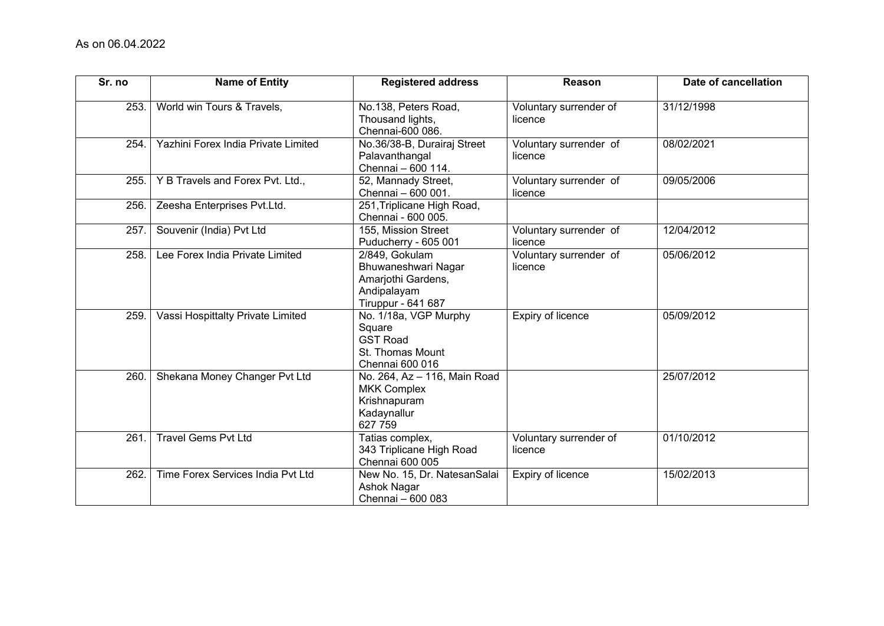| Sr. no | <b>Name of Entity</b>               | <b>Registered address</b>                                                                        | Reason                            | Date of cancellation |
|--------|-------------------------------------|--------------------------------------------------------------------------------------------------|-----------------------------------|----------------------|
| 253.   | World win Tours & Travels,          | No.138, Peters Road,<br>Thousand lights,<br>Chennai-600 086.                                     | Voluntary surrender of<br>licence | 31/12/1998           |
| 254.   | Yazhini Forex India Private Limited | No.36/38-B, Durairaj Street<br>Palavanthangal<br>Chennai - 600 114.                              | Voluntary surrender of<br>licence | 08/02/2021           |
| 255.   | Y B Travels and Forex Pvt. Ltd.,    | 52, Mannady Street,<br>Chennai - 600 001.                                                        | Voluntary surrender of<br>licence | 09/05/2006           |
| 256    | Zeesha Enterprises Pvt.Ltd.         | 251, Triplicane High Road,<br>Chennai - 600 005.                                                 |                                   |                      |
| 257    | Souvenir (India) Pvt Ltd            | 155, Mission Street<br>Puducherry - 605 001                                                      | Voluntary surrender of<br>licence | 12/04/2012           |
| 258.   | Lee Forex India Private Limited     | 2/849, Gokulam<br>Bhuwaneshwari Nagar<br>Amarjothi Gardens,<br>Andipalayam<br>Tiruppur - 641 687 | Voluntary surrender of<br>licence | 05/06/2012           |
| 259    | Vassi Hospittalty Private Limited   | No. 1/18a, VGP Murphy<br>Square<br><b>GST Road</b><br>St. Thomas Mount<br>Chennai 600 016        | Expiry of licence                 | 05/09/2012           |
| 260.   | Shekana Money Changer Pvt Ltd       | No. 264, Az - 116, Main Road<br><b>MKK Complex</b><br>Krishnapuram<br>Kadaynallur<br>627 759     |                                   | 25/07/2012           |
| 261.   | <b>Travel Gems Pvt Ltd</b>          | Tatias complex,<br>343 Triplicane High Road<br>Chennai 600 005                                   | Voluntary surrender of<br>licence | 01/10/2012           |
| 262.   | Time Forex Services India Pvt Ltd   | New No. 15, Dr. NatesanSalai<br>Ashok Nagar<br>Chennai - 600 083                                 | Expiry of licence                 | 15/02/2013           |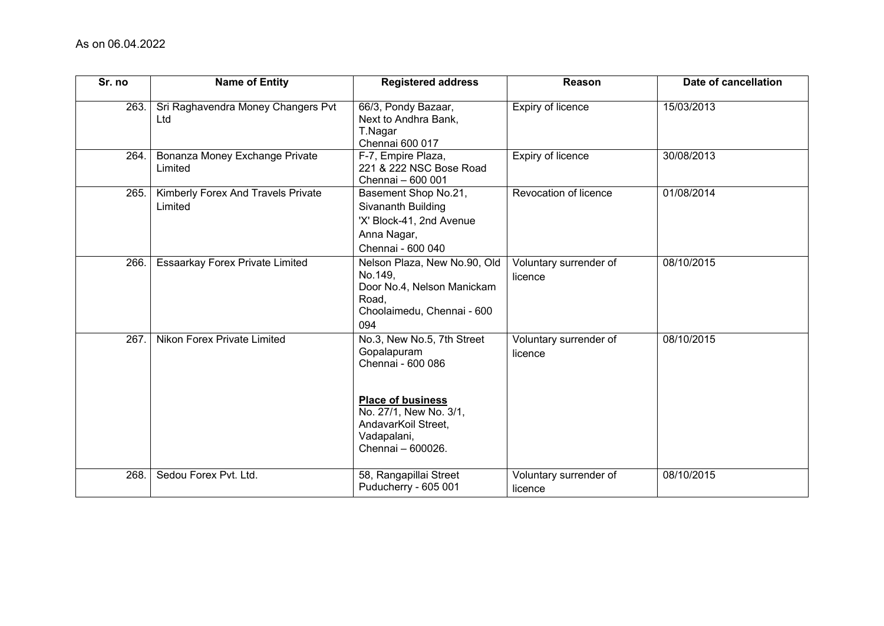| Sr. no | <b>Name of Entity</b>                         | <b>Registered address</b>                                                                                                                                                       | Reason                            | Date of cancellation |
|--------|-----------------------------------------------|---------------------------------------------------------------------------------------------------------------------------------------------------------------------------------|-----------------------------------|----------------------|
| 263.   | Sri Raghavendra Money Changers Pvt<br>Ltd     | 66/3, Pondy Bazaar,<br>Next to Andhra Bank,<br>T.Nagar<br>Chennai 600 017                                                                                                       | Expiry of licence                 | 15/03/2013           |
| 264.   | Bonanza Money Exchange Private<br>Limited     | F-7, Empire Plaza,<br>221 & 222 NSC Bose Road<br>Chennai - 600 001                                                                                                              | Expiry of licence                 | 30/08/2013           |
| 265.   | Kimberly Forex And Travels Private<br>Limited | Basement Shop No.21,<br>Sivananth Building<br>'X' Block-41, 2nd Avenue<br>Anna Nagar,<br>Chennai - 600 040                                                                      | Revocation of licence             | 01/08/2014           |
| 266.   | Essaarkay Forex Private Limited               | Nelson Plaza, New No.90, Old<br>No.149,<br>Door No.4, Nelson Manickam<br>Road,<br>Choolaimedu, Chennai - 600<br>094                                                             | Voluntary surrender of<br>licence | 08/10/2015           |
| 267.   | Nikon Forex Private Limited                   | No.3, New No.5, 7th Street<br>Gopalapuram<br>Chennai - 600 086<br><b>Place of business</b><br>No. 27/1, New No. 3/1,<br>AndavarKoil Street,<br>Vadapalani,<br>Chennai - 600026. | Voluntary surrender of<br>licence | 08/10/2015           |
| 268.   | Sedou Forex Pvt. Ltd.                         | 58, Rangapillai Street<br>Puducherry - 605 001                                                                                                                                  | Voluntary surrender of<br>licence | 08/10/2015           |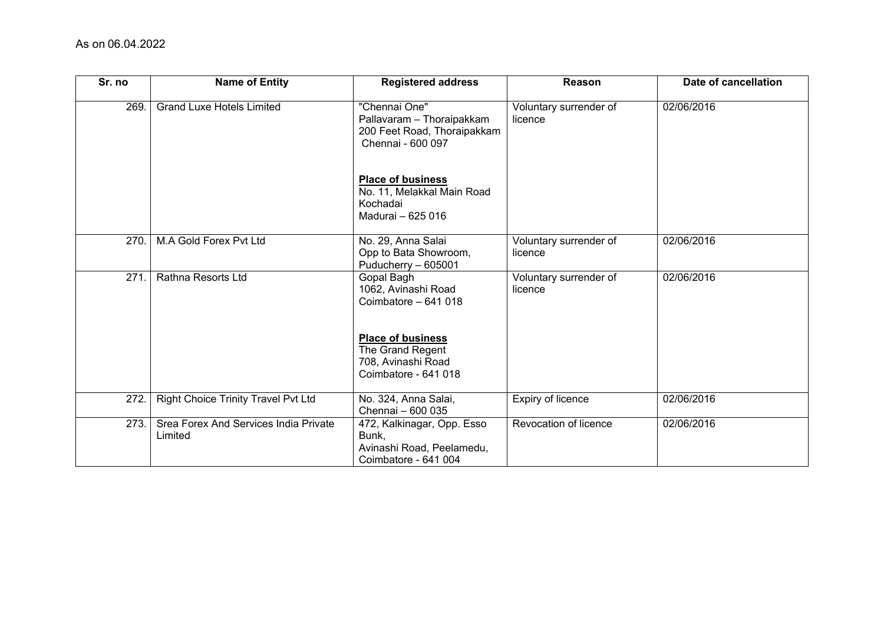| Sr. no | <b>Name of Entity</b>                            | <b>Registered address</b>                                                                      | Reason                            | Date of cancellation |
|--------|--------------------------------------------------|------------------------------------------------------------------------------------------------|-----------------------------------|----------------------|
| 269.   | <b>Grand Luxe Hotels Limited</b>                 | "Chennai One"<br>Pallavaram - Thoraipakkam<br>200 Feet Road, Thoraipakkam<br>Chennai - 600 097 | Voluntary surrender of<br>licence | 02/06/2016           |
|        |                                                  | <b>Place of business</b><br>No. 11, Melakkal Main Road<br>Kochadai<br>Madurai - 625 016        |                                   |                      |
| 270.   | M.A Gold Forex Pvt Ltd                           | No. 29, Anna Salai<br>Opp to Bata Showroom,<br>Puducherry - 605001                             | Voluntary surrender of<br>licence | 02/06/2016           |
| 271    | Rathna Resorts Ltd                               | Gopal Bagh<br>1062, Avinashi Road<br>Coimbatore - 641 018                                      | Voluntary surrender of<br>licence | 02/06/2016           |
|        |                                                  | <b>Place of business</b><br>The Grand Regent<br>708, Avinashi Road<br>Coimbatore - 641 018     |                                   |                      |
| 272.   | <b>Right Choice Trinity Travel Pvt Ltd</b>       | No. 324, Anna Salai,<br>Chennai - 600 035                                                      | Expiry of licence                 | 02/06/2016           |
| 273.   | Srea Forex And Services India Private<br>Limited | 472, Kalkinagar, Opp. Esso<br>Bunk,<br>Avinashi Road, Peelamedu,<br>Coimbatore - 641 004       | Revocation of licence             | 02/06/2016           |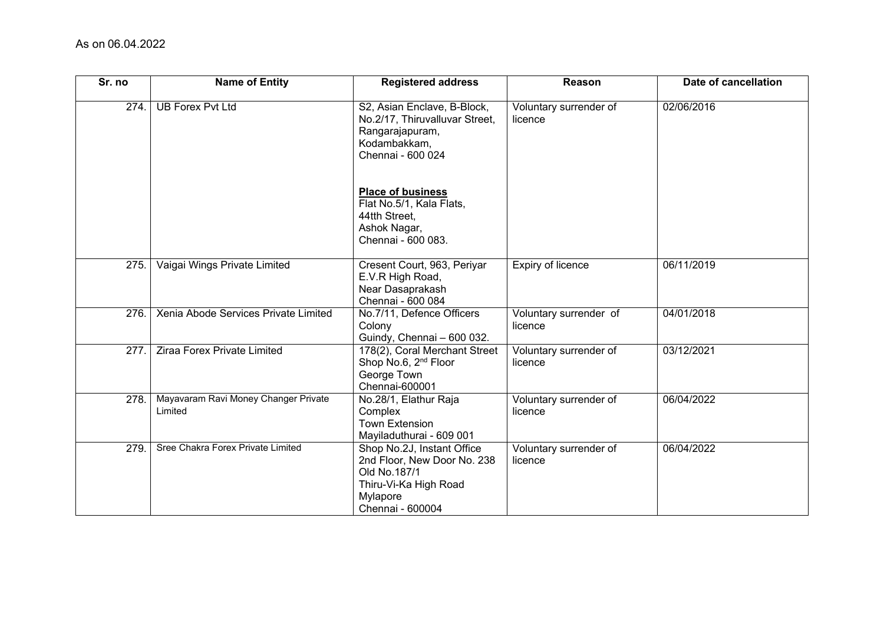| Sr. no | <b>Name of Entity</b>                           | <b>Registered address</b>                                                                                                          | Reason                            | Date of cancellation |
|--------|-------------------------------------------------|------------------------------------------------------------------------------------------------------------------------------------|-----------------------------------|----------------------|
| 274.   | <b>UB Forex Pvt Ltd</b>                         | S2, Asian Enclave, B-Block,<br>No.2/17, Thiruvalluvar Street,<br>Rangarajapuram,<br>Kodambakkam,<br>Chennai - 600 024              | Voluntary surrender of<br>licence | 02/06/2016           |
|        |                                                 | <b>Place of business</b><br>Flat No.5/1, Kala Flats,<br>44tth Street,<br>Ashok Nagar,<br>Chennai - 600 083.                        |                                   |                      |
| 275.   | Vaigai Wings Private Limited                    | Cresent Court, 963, Periyar<br>E.V.R High Road,<br>Near Dasaprakash<br>Chennai - 600 084                                           | Expiry of licence                 | 06/11/2019           |
| 276.   | Xenia Abode Services Private Limited            | No.7/11, Defence Officers<br>Colony<br>Guindy, Chennai - 600 032.                                                                  | Voluntary surrender of<br>licence | 04/01/2018           |
| 277.   | Ziraa Forex Private Limited                     | 178(2), Coral Merchant Street<br>Shop No.6, 2 <sup>nd</sup> Floor<br>George Town<br>Chennai-600001                                 | Voluntary surrender of<br>licence | 03/12/2021           |
| 278.   | Mayavaram Ravi Money Changer Private<br>Limited | No.28/1, Elathur Raja<br>Complex<br><b>Town Extension</b><br>Mayiladuthurai - 609 001                                              | Voluntary surrender of<br>licence | 06/04/2022           |
| 279.   | Sree Chakra Forex Private Limited               | Shop No.2J, Instant Office<br>2nd Floor, New Door No. 238<br>Old No.187/1<br>Thiru-Vi-Ka High Road<br>Mylapore<br>Chennai - 600004 | Voluntary surrender of<br>licence | 06/04/2022           |